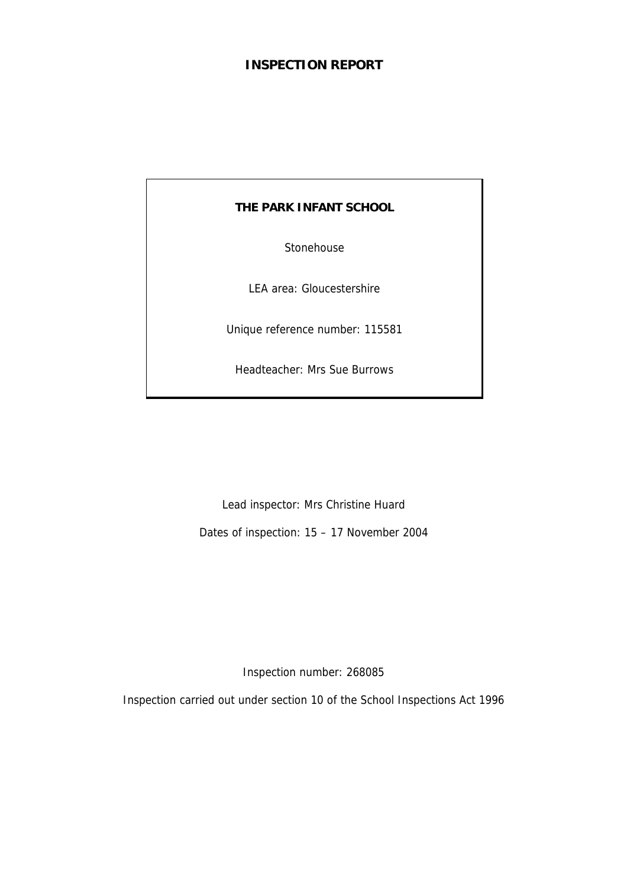# **INSPECTION REPORT**

## **THE PARK INFANT SCHOOL**

Stonehouse

LEA area: Gloucestershire

Unique reference number: 115581

Headteacher: Mrs Sue Burrows

Lead inspector: Mrs Christine Huard

Dates of inspection: 15 – 17 November 2004

Inspection number: 268085

Inspection carried out under section 10 of the School Inspections Act 1996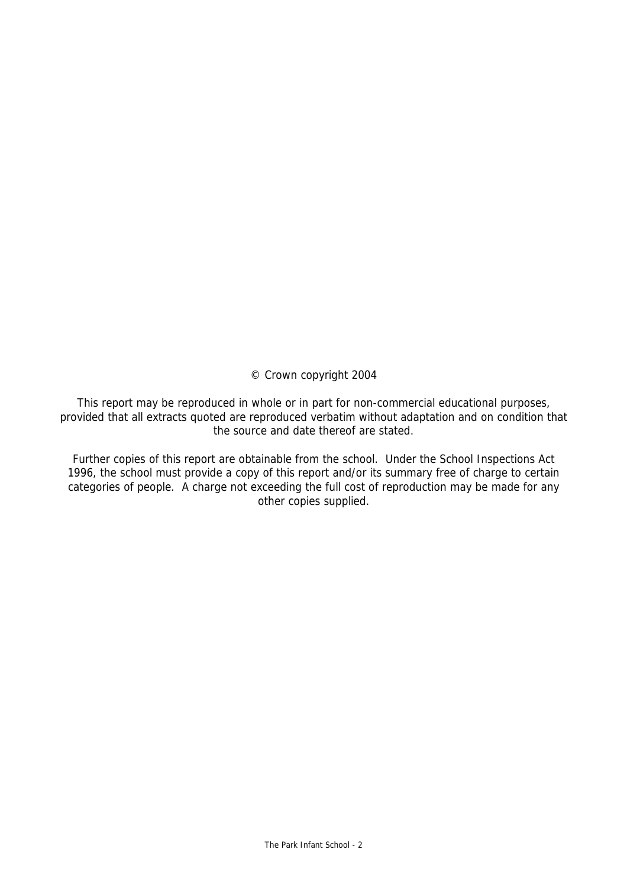© Crown copyright 2004

This report may be reproduced in whole or in part for non-commercial educational purposes, provided that all extracts quoted are reproduced verbatim without adaptation and on condition that the source and date thereof are stated.

Further copies of this report are obtainable from the school. Under the School Inspections Act 1996, the school must provide a copy of this report and/or its summary free of charge to certain categories of people. A charge not exceeding the full cost of reproduction may be made for any other copies supplied.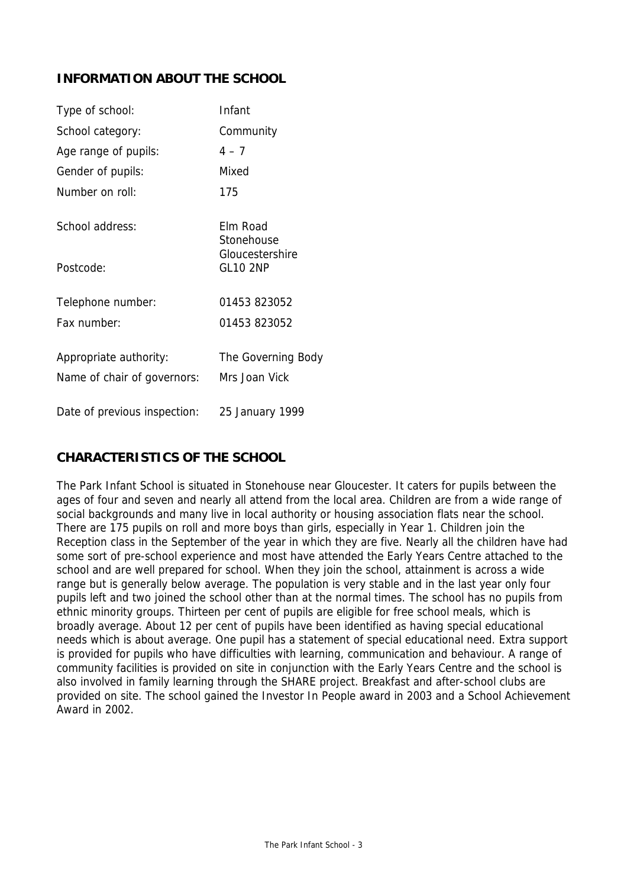# **INFORMATION ABOUT THE SCHOOL**

| Type of school:                                       | Infant                              |
|-------------------------------------------------------|-------------------------------------|
| School category:                                      | Community                           |
| Age range of pupils:                                  | $4 - 7$                             |
| Gender of pupils:                                     | Mixed                               |
| Number on roll:                                       | 175                                 |
| School address:                                       | Elm Road<br>Stonehouse              |
| Postcode:                                             | Gloucestershire<br><b>GL10 2NP</b>  |
| Telephone number:                                     | 01453 823052                        |
| Fax number:                                           | 01453 823052                        |
| Appropriate authority:<br>Name of chair of governors: | The Governing Body<br>Mrs Joan Vick |
| Date of previous inspection:                          | 25 January 1999                     |

# **CHARACTERISTICS OF THE SCHOOL**

The Park Infant School is situated in Stonehouse near Gloucester. It caters for pupils between the ages of four and seven and nearly all attend from the local area. Children are from a wide range of social backgrounds and many live in local authority or housing association flats near the school. There are 175 pupils on roll and more boys than girls, especially in Year 1. Children join the Reception class in the September of the year in which they are five. Nearly all the children have had some sort of pre-school experience and most have attended the Early Years Centre attached to the school and are well prepared for school. When they join the school, attainment is across a wide range but is generally below average. The population is very stable and in the last year only four pupils left and two joined the school other than at the normal times. The school has no pupils from ethnic minority groups. Thirteen per cent of pupils are eligible for free school meals, which is broadly average. About 12 per cent of pupils have been identified as having special educational needs which is about average. One pupil has a statement of special educational need. Extra support is provided for pupils who have difficulties with learning, communication and behaviour. A range of community facilities is provided on site in conjunction with the Early Years Centre and the school is also involved in family learning through the SHARE project. Breakfast and after-school clubs are provided on site. The school gained the Investor In People award in 2003 and a School Achievement Award in 2002.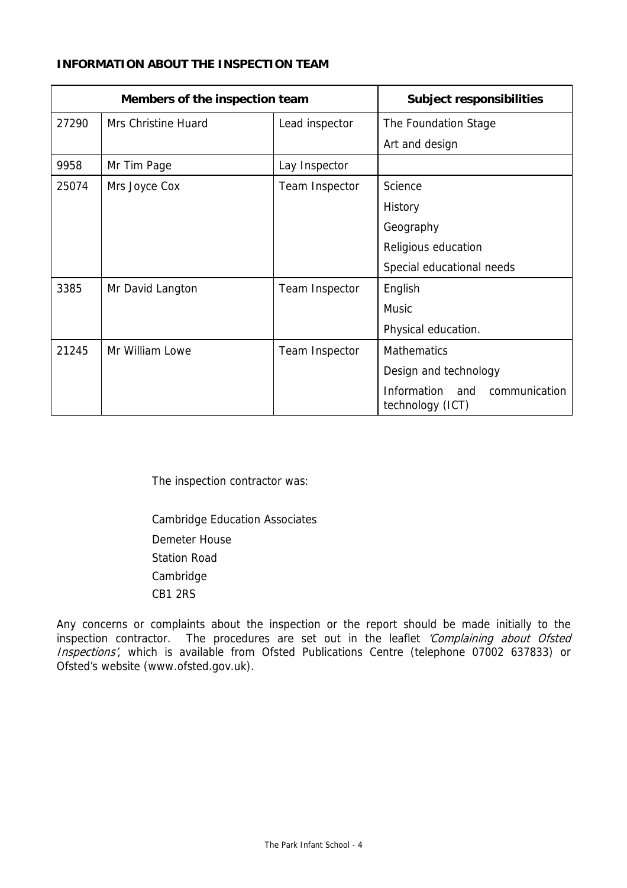## **INFORMATION ABOUT THE INSPECTION TEAM**

| Members of the inspection team |                     | <b>Subject responsibilities</b> |                                                         |
|--------------------------------|---------------------|---------------------------------|---------------------------------------------------------|
| 27290                          | Mrs Christine Huard | Lead inspector                  | The Foundation Stage                                    |
|                                |                     |                                 | Art and design                                          |
| 9958                           | Mr Tim Page         | Lay Inspector                   |                                                         |
| 25074                          | Mrs Joyce Cox       | Team Inspector                  | Science                                                 |
|                                |                     |                                 | History                                                 |
|                                |                     |                                 | Geography                                               |
|                                |                     |                                 | Religious education                                     |
|                                |                     |                                 | Special educational needs                               |
| 3385                           | Mr David Langton    | Team Inspector                  | English                                                 |
|                                |                     |                                 | <b>Music</b>                                            |
|                                |                     |                                 | Physical education.                                     |
| 21245                          | Mr William Lowe     | Team Inspector                  | <b>Mathematics</b>                                      |
|                                |                     |                                 | Design and technology                                   |
|                                |                     |                                 | Information<br>communication<br>and<br>technology (ICT) |

The inspection contractor was:

Cambridge Education Associates Demeter House Station Road Cambridge CB1 2RS

Any concerns or complaints about the inspection or the report should be made initially to the inspection contractor. The procedures are set out in the leaflet 'Complaining about Ofsted Inspections', which is available from Ofsted Publications Centre (telephone 07002 637833) or Ofsted's website (www.ofsted.gov.uk).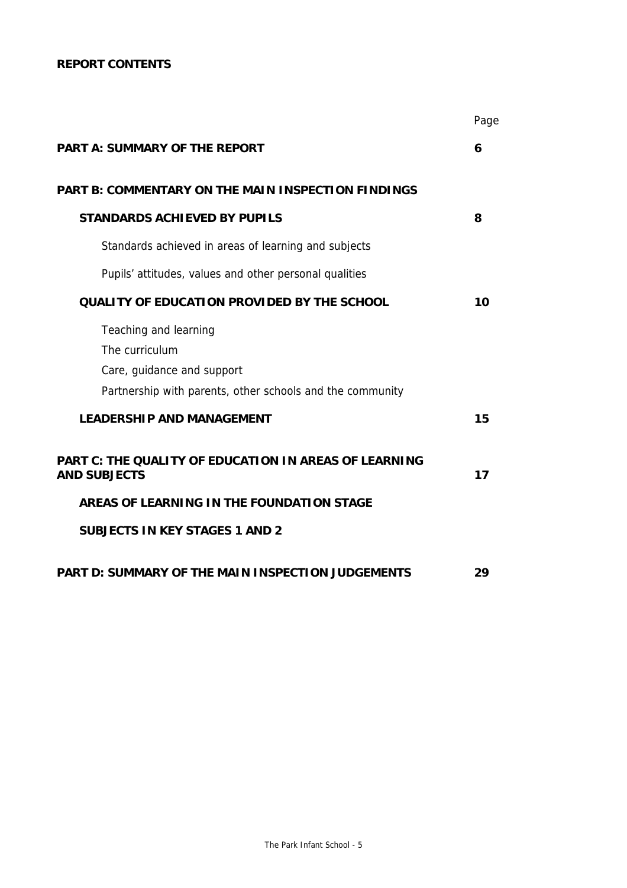## **REPORT CONTENTS**

|                                                                                                                                    | Page |
|------------------------------------------------------------------------------------------------------------------------------------|------|
| <b>PART A: SUMMARY OF THE REPORT</b>                                                                                               | 6    |
| <b>PART B: COMMENTARY ON THE MAIN INSPECTION FINDINGS</b>                                                                          |      |
| <b>STANDARDS ACHIEVED BY PUPILS</b>                                                                                                | 8    |
| Standards achieved in areas of learning and subjects                                                                               |      |
| Pupils' attitudes, values and other personal qualities                                                                             |      |
| <b>QUALITY OF EDUCATION PROVIDED BY THE SCHOOL</b>                                                                                 | 10   |
| Teaching and learning<br>The curriculum<br>Care, guidance and support<br>Partnership with parents, other schools and the community |      |
| <b>LEADERSHIP AND MANAGEMENT</b>                                                                                                   | 15   |
| <b>PART C: THE QUALITY OF EDUCATION IN AREAS OF LEARNING</b><br><b>AND SUBJECTS</b>                                                | 17   |
| AREAS OF LEARNING IN THE FOUNDATION STAGE                                                                                          |      |
| <b>SUBJECTS IN KEY STAGES 1 AND 2</b>                                                                                              |      |
| <b>PART D: SUMMARY OF THE MAIN INSPECTION JUDGEMENTS</b>                                                                           | 29   |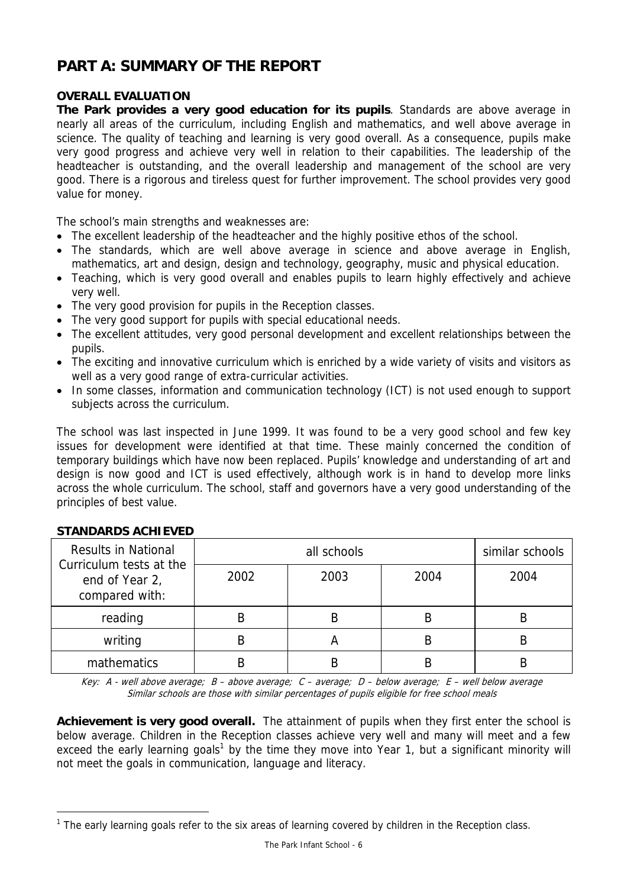# **PART A: SUMMARY OF THE REPORT**

## **OVERALL EVALUATION**

**The Park provides a very good education for its pupils**. Standards are above average in nearly all areas of the curriculum, including English and mathematics, and well above average in science. The quality of teaching and learning is very good overall. As a consequence, pupils make very good progress and achieve very well in relation to their capabilities. The leadership of the headteacher is outstanding, and the overall leadership and management of the school are very good. There is a rigorous and tireless quest for further improvement. The school provides very good value for money.

The school's main strengths and weaknesses are:

- The excellent leadership of the headteacher and the highly positive ethos of the school.
- The standards, which are well above average in science and above average in English, mathematics, art and design, design and technology, geography, music and physical education.
- Teaching, which is very good overall and enables pupils to learn highly effectively and achieve very well.
- The very good provision for pupils in the Reception classes.
- The very good support for pupils with special educational needs.
- The excellent attitudes, very good personal development and excellent relationships between the pupils.
- The exciting and innovative curriculum which is enriched by a wide variety of visits and visitors as well as a very good range of extra-curricular activities.
- In some classes, information and communication technology (ICT) is not used enough to support subjects across the curriculum.

The school was last inspected in June 1999. It was found to be a very good school and few key issues for development were identified at that time. These mainly concerned the condition of temporary buildings which have now been replaced. Pupils' knowledge and understanding of art and design is now good and ICT is used effectively, although work is in hand to develop more links across the whole curriculum. The school, staff and governors have a very good understanding of the principles of best value.

| <b>Results in National</b>                                  |      | similar schools |      |      |
|-------------------------------------------------------------|------|-----------------|------|------|
| Curriculum tests at the<br>end of Year 2,<br>compared with: | 2002 | 2003            | 2004 | 2004 |
| reading                                                     |      | B               | В    | В    |
| writing                                                     |      |                 |      | B    |
| mathematics                                                 |      | B               |      | B    |

### **STANDARDS ACHIEVED**

-

Key: A - well above average; B – above average; C – average; D – below average; E – well below average Similar schools are those with similar percentages of pupils eligible for free school meals

**Achievement is very good overall.** The attainment of pupils when they first enter the school is below average. Children in the Reception classes achieve very well and many will meet and a few exceed the early learning goals<sup>1</sup> by the time they move into Year 1, but a significant minority will not meet the goals in communication, language and literacy.

 $1$  The early learning goals refer to the six areas of learning covered by children in the Reception class.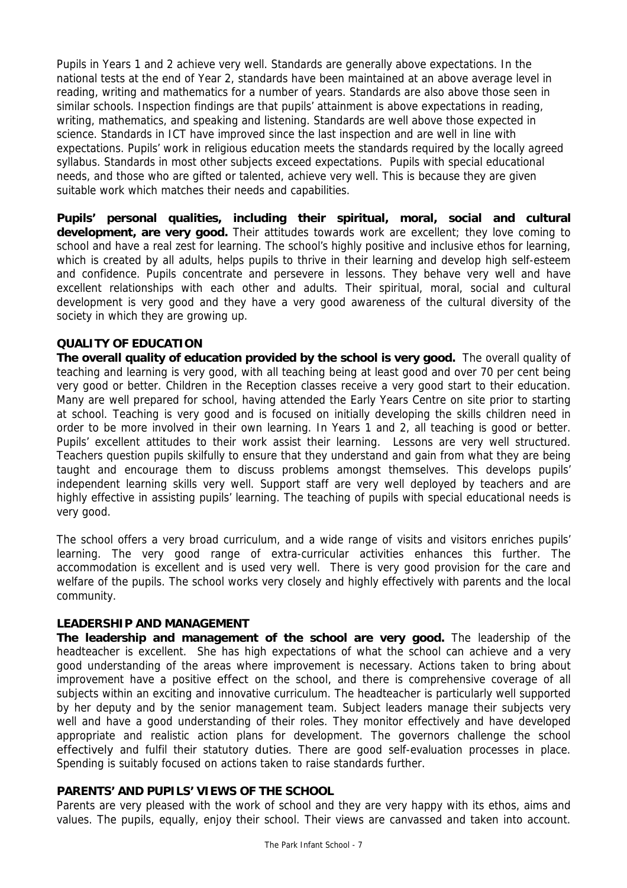Pupils in Years 1 and 2 achieve very well. Standards are generally above expectations. In the national tests at the end of Year 2, standards have been maintained at an above average level in reading, writing and mathematics for a number of years. Standards are also above those seen in similar schools. Inspection findings are that pupils' attainment is above expectations in reading, writing, mathematics, and speaking and listening. Standards are well above those expected in science. Standards in ICT have improved since the last inspection and are well in line with expectations. Pupils' work in religious education meets the standards required by the locally agreed syllabus. Standards in most other subjects exceed expectations. Pupils with special educational needs, and those who are gifted or talented, achieve very well. This is because they are given suitable work which matches their needs and capabilities.

**Pupils' personal qualities, including their spiritual, moral, social and cultural development, are very good.** Their attitudes towards work are excellent; they love coming to school and have a real zest for learning. The school's highly positive and inclusive ethos for learning, which is created by all adults, helps pupils to thrive in their learning and develop high self-esteem and confidence. Pupils concentrate and persevere in lessons. They behave very well and have excellent relationships with each other and adults. Their spiritual, moral, social and cultural development is very good and they have a very good awareness of the cultural diversity of the society in which they are growing up.

### **QUALITY OF EDUCATION**

**The overall quality of education provided by the school is very good.** The overall quality of teaching and learning is very good, with all teaching being at least good and over 70 per cent being very good or better. Children in the Reception classes receive a very good start to their education. Many are well prepared for school, having attended the Early Years Centre on site prior to starting at school. Teaching is very good and is focused on initially developing the skills children need in order to be more involved in their own learning. In Years 1 and 2, all teaching is good or better. Pupils' excellent attitudes to their work assist their learning. Lessons are very well structured. Teachers question pupils skilfully to ensure that they understand and gain from what they are being taught and encourage them to discuss problems amongst themselves. This develops pupils' independent learning skills very well. Support staff are very well deployed by teachers and are highly effective in assisting pupils' learning. The teaching of pupils with special educational needs is very good.

The school offers a very broad curriculum, and a wide range of visits and visitors enriches pupils' learning. The very good range of extra-curricular activities enhances this further. The accommodation is excellent and is used very well. There is very good provision for the care and welfare of the pupils. The school works very closely and highly effectively with parents and the local community.

### **LEADERSHIP AND MANAGEMENT**

**The leadership and management of the school are very good.** The leadership of the headteacher is excellent.She has high expectations of what the school can achieve and a very good understanding of the areas where improvement is necessary. Actions taken to bring about improvement have a positive effect on the school, and there is comprehensive coverage of all subjects within an exciting and innovative curriculum. The headteacher is particularly well supported by her deputy and by the senior management team. Subject leaders manage their subjects very well and have a good understanding of their roles. They monitor effectively and have developed appropriate and realistic action plans for development. The governors challenge the school effectively and fulfil their statutory duties. There are good self-evaluation processes in place. Spending is suitably focused on actions taken to raise standards further.

## **PARENTS' AND PUPILS' VIEWS OF THE SCHOOL**

Parents are very pleased with the work of school and they are very happy with its ethos, aims and values. The pupils, equally, enjoy their school. Their views are canvassed and taken into account.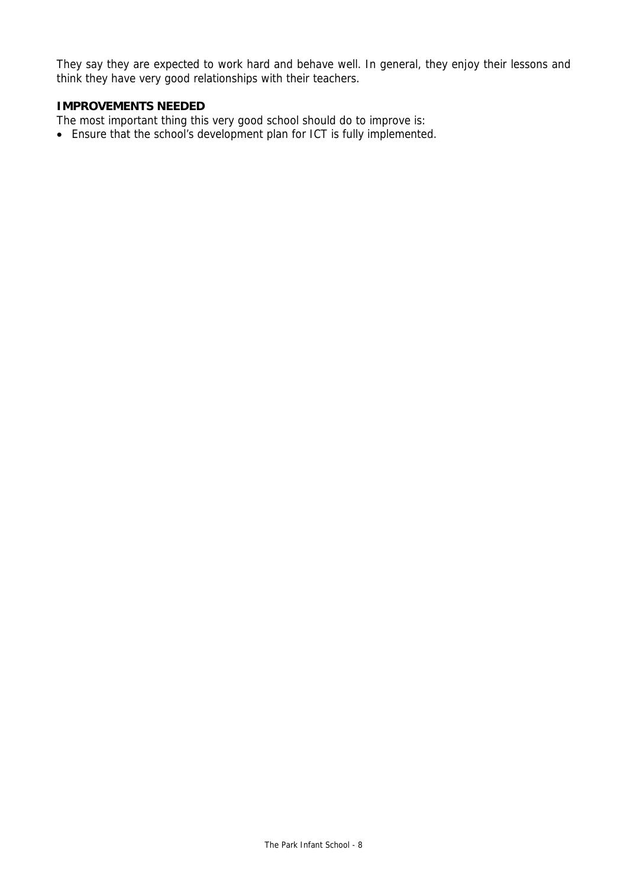They say they are expected to work hard and behave well. In general, they enjoy their lessons and think they have very good relationships with their teachers.

## **IMPROVEMENTS NEEDED**

The most important thing this very good school should do to improve is:

• Ensure that the school's development plan for ICT is fully implemented.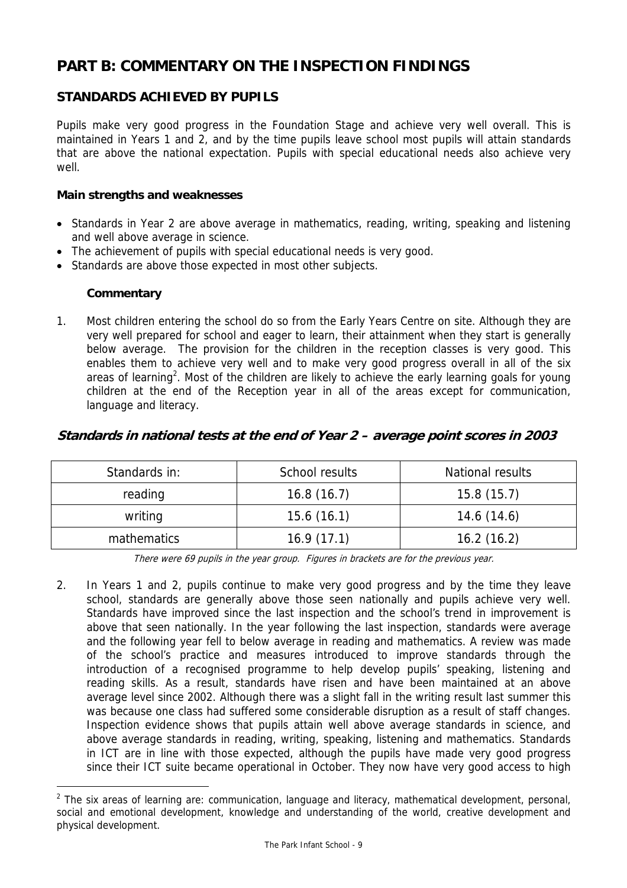# **PART B: COMMENTARY ON THE INSPECTION FINDINGS**

# **STANDARDS ACHIEVED BY PUPILS**

Pupils make very good progress in the Foundation Stage and achieve very well overall. This is maintained in Years 1 and 2, and by the time pupils leave school most pupils will attain standards that are above the national expectation. Pupils with special educational needs also achieve very well.

## **Main strengths and weaknesses**

- Standards in Year 2 are above average in mathematics, reading, writing, speaking and listening and well above average in science.
- The achievement of pupils with special educational needs is very good.
- Standards are above those expected in most other subjects.

## **Commentary**

 $\overline{a}$ 

1. Most children entering the school do so from the Early Years Centre on site. Although they are very well prepared for school and eager to learn, their attainment when they start is generally below average. The provision for the children in the reception classes is very good. This enables them to achieve very well and to make very good progress overall in all of the six areas of learning<sup>2</sup>. Most of the children are likely to achieve the early learning goals for young children at the end of the Reception year in all of the areas except for communication, language and literacy.

# **Standards in national tests at the end of Year 2 – average point scores in 2003**

| Standards in: | School results | National results |
|---------------|----------------|------------------|
| reading       | 16.8(16.7)     | 15.8(15.7)       |
| writing       | 15.6(16.1)     | 14.6(14.6)       |
| mathematics   | 16.9(17.1)     | 16.2(16.2)       |

There were 69 pupils in the year group. Figures in brackets are for the previous year.

2. In Years 1 and 2, pupils continue to make very good progress and by the time they leave school, standards are generally above those seen nationally and pupils achieve very well. Standards have improved since the last inspection and the school's trend in improvement is above that seen nationally. In the year following the last inspection, standards were average and the following year fell to below average in reading and mathematics. A review was made of the school's practice and measures introduced to improve standards through the introduction of a recognised programme to help develop pupils' speaking, listening and reading skills. As a result, standards have risen and have been maintained at an above average level since 2002. Although there was a slight fall in the writing result last summer this was because one class had suffered some considerable disruption as a result of staff changes. Inspection evidence shows that pupils attain well above average standards in science, and above average standards in reading, writing, speaking, listening and mathematics. Standards in ICT are in line with those expected, although the pupils have made very good progress since their ICT suite became operational in October. They now have very good access to high

 $2$  The six areas of learning are: communication, language and literacy, mathematical development, personal, social and emotional development, knowledge and understanding of the world, creative development and physical development.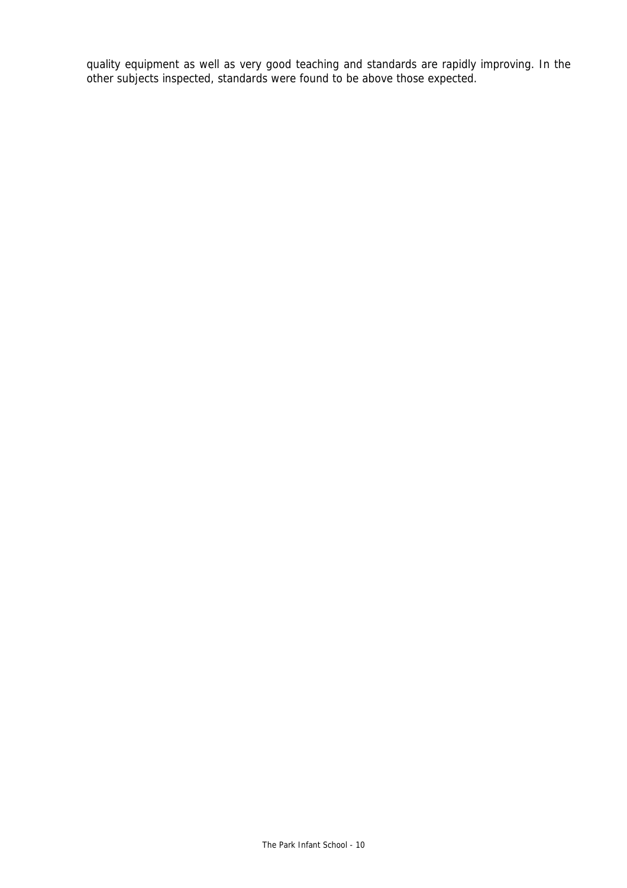quality equipment as well as very good teaching and standards are rapidly improving. In the other subjects inspected, standards were found to be above those expected.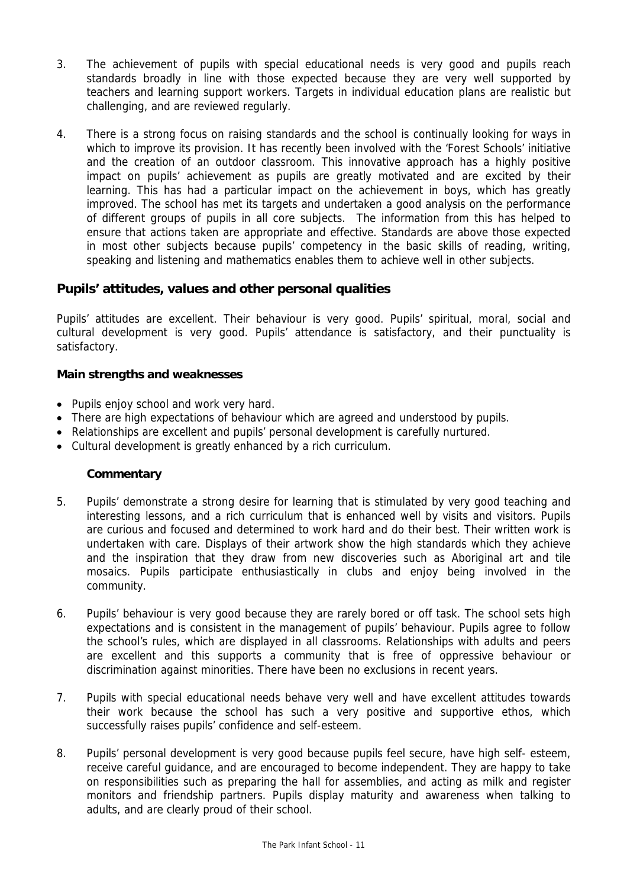- 3. The achievement of pupils with special educational needs is very good and pupils reach standards broadly in line with those expected because they are very well supported by teachers and learning support workers. Targets in individual education plans are realistic but challenging, and are reviewed regularly.
- 4. There is a strong focus on raising standards and the school is continually looking for ways in which to improve its provision. It has recently been involved with the 'Forest Schools' initiative and the creation of an outdoor classroom. This innovative approach has a highly positive impact on pupils' achievement as pupils are greatly motivated and are excited by their learning. This has had a particular impact on the achievement in boys, which has greatly improved. The school has met its targets and undertaken a good analysis on the performance of different groups of pupils in all core subjects. The information from this has helped to ensure that actions taken are appropriate and effective. Standards are above those expected in most other subjects because pupils' competency in the basic skills of reading, writing, speaking and listening and mathematics enables them to achieve well in other subjects.

# **Pupils' attitudes, values and other personal qualities**

Pupils' attitudes are excellent. Their behaviour is very good. Pupils' spiritual, moral, social and cultural development is very good. Pupils' attendance is satisfactory, and their punctuality is satisfactory.

## **Main strengths and weaknesses**

- Pupils enjoy school and work very hard.
- There are high expectations of behaviour which are agreed and understood by pupils.
- Relationships are excellent and pupils' personal development is carefully nurtured.
- Cultural development is greatly enhanced by a rich curriculum.

- 5. Pupils' demonstrate a strong desire for learning that is stimulated by very good teaching and interesting lessons, and a rich curriculum that is enhanced well by visits and visitors. Pupils are curious and focused and determined to work hard and do their best. Their written work is undertaken with care. Displays of their artwork show the high standards which they achieve and the inspiration that they draw from new discoveries such as Aboriginal art and tile mosaics. Pupils participate enthusiastically in clubs and enjoy being involved in the community.
- 6. Pupils' behaviour is very good because they are rarely bored or off task. The school sets high expectations and is consistent in the management of pupils' behaviour. Pupils agree to follow the school's rules, which are displayed in all classrooms. Relationships with adults and peers are excellent and this supports a community that is free of oppressive behaviour or discrimination against minorities. There have been no exclusions in recent years.
- 7. Pupils with special educational needs behave very well and have excellent attitudes towards their work because the school has such a very positive and supportive ethos, which successfully raises pupils' confidence and self-esteem.
- 8. Pupils' personal development is very good because pupils feel secure, have high self- esteem, receive careful guidance, and are encouraged to become independent. They are happy to take on responsibilities such as preparing the hall for assemblies, and acting as milk and register monitors and friendship partners. Pupils display maturity and awareness when talking to adults, and are clearly proud of their school.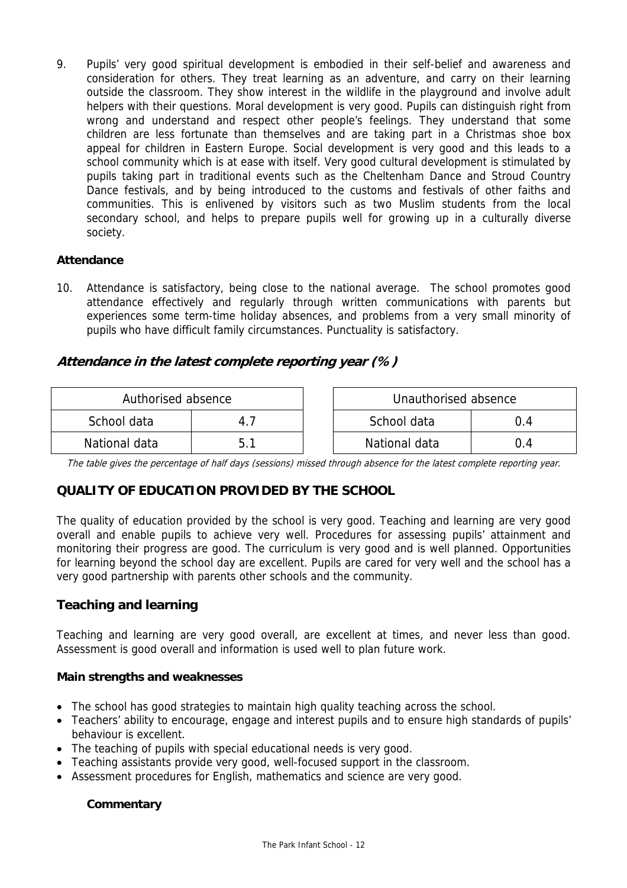9. Pupils' very good spiritual development is embodied in their self-belief and awareness and consideration for others. They treat learning as an adventure, and carry on their learning outside the classroom. They show interest in the wildlife in the playground and involve adult helpers with their questions. Moral development is very good. Pupils can distinguish right from wrong and understand and respect other people's feelings. They understand that some children are less fortunate than themselves and are taking part in a Christmas shoe box appeal for children in Eastern Europe. Social development is very good and this leads to a school community which is at ease with itself. Very good cultural development is stimulated by pupils taking part in traditional events such as the Cheltenham Dance and Stroud Country Dance festivals, and by being introduced to the customs and festivals of other faiths and communities. This is enlivened by visitors such as two Muslim students from the local secondary school, and helps to prepare pupils well for growing up in a culturally diverse society.

## **Attendance**

10. Attendance is satisfactory, being close to the national average. The school promotes good attendance effectively and regularly through written communications with parents but experiences some term-time holiday absences, and problems from a very small minority of pupils who have difficult family circumstances. Punctuality is satisfactory.

## **Attendance in the latest complete reporting year (%)**

| Authorised absence |  | Unauthorised absence |  |
|--------------------|--|----------------------|--|
| School data        |  | School data          |  |
| National data      |  | National data        |  |

The table gives the percentage of half days (sessions) missed through absence for the latest complete reporting year.

# **QUALITY OF EDUCATION PROVIDED BY THE SCHOOL**

The quality of education provided by the school is very good. Teaching and learning are very good overall and enable pupils to achieve very well. Procedures for assessing pupils' attainment and monitoring their progress are good. The curriculum is very good and is well planned. Opportunities for learning beyond the school day are excellent. Pupils are cared for very well and the school has a very good partnership with parents other schools and the community.

## **Teaching and learning**

Teaching and learning are very good overall, are excellent at times, and never less than good. Assessment is good overall and information is used well to plan future work.

### **Main strengths and weaknesses**

- The school has good strategies to maintain high quality teaching across the school.
- Teachers' ability to encourage, engage and interest pupils and to ensure high standards of pupils' behaviour is excellent.
- The teaching of pupils with special educational needs is very good.
- Teaching assistants provide very good, well-focused support in the classroom.
- Assessment procedures for English, mathematics and science are very good.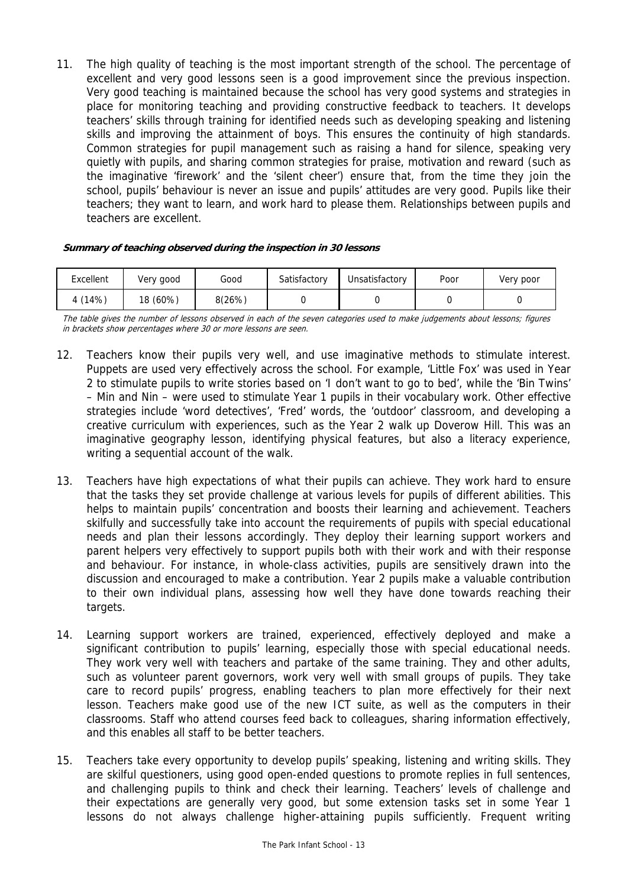11. The high quality of teaching is the most important strength of the school. The percentage of excellent and very good lessons seen is a good improvement since the previous inspection. Very good teaching is maintained because the school has very good systems and strategies in place for monitoring teaching and providing constructive feedback to teachers. It develops teachers' skills through training for identified needs such as developing speaking and listening skills and improving the attainment of boys. This ensures the continuity of high standards. Common strategies for pupil management such as raising a hand for silence, speaking very quietly with pupils, and sharing common strategies for praise, motivation and reward (such as the imaginative 'firework' and the 'silent cheer') ensure that, from the time they join the school, pupils' behaviour is never an issue and pupils' attitudes are very good. Pupils like their teachers; they want to learn, and work hard to please them. Relationships between pupils and teachers are excellent.

#### **Summary of teaching observed during the inspection in 30 lessons**

| Excellent | Very good | Good   | Satisfactory | Unsatisfactory | Poor | Very poor |
|-----------|-----------|--------|--------------|----------------|------|-----------|
| 4 (14%)   | 18 (60%)  | 8(26%) |              |                |      |           |

The table gives the number of lessons observed in each of the seven categories used to make judgements about lessons; figures in brackets show percentages where 30 or more lessons are seen.

- 12. Teachers know their pupils very well, and use imaginative methods to stimulate interest. Puppets are used very effectively across the school. For example, 'Little Fox' was used in Year 2 to stimulate pupils to write stories based on 'I don't want to go to bed', while the 'Bin Twins' – Min and Nin – were used to stimulate Year 1 pupils in their vocabulary work. Other effective strategies include 'word detectives', 'Fred' words, the 'outdoor' classroom, and developing a creative curriculum with experiences, such as the Year 2 walk up Doverow Hill. This was an imaginative geography lesson, identifying physical features, but also a literacy experience, writing a sequential account of the walk.
- 13. Teachers have high expectations of what their pupils can achieve. They work hard to ensure that the tasks they set provide challenge at various levels for pupils of different abilities. This helps to maintain pupils' concentration and boosts their learning and achievement. Teachers skilfully and successfully take into account the requirements of pupils with special educational needs and plan their lessons accordingly. They deploy their learning support workers and parent helpers very effectively to support pupils both with their work and with their response and behaviour. For instance, in whole-class activities, pupils are sensitively drawn into the discussion and encouraged to make a contribution. Year 2 pupils make a valuable contribution to their own individual plans, assessing how well they have done towards reaching their targets.
- 14. Learning support workers are trained, experienced, effectively deployed and make a significant contribution to pupils' learning, especially those with special educational needs. They work very well with teachers and partake of the same training. They and other adults, such as volunteer parent governors, work very well with small groups of pupils. They take care to record pupils' progress, enabling teachers to plan more effectively for their next lesson. Teachers make good use of the new ICT suite, as well as the computers in their classrooms. Staff who attend courses feed back to colleagues, sharing information effectively, and this enables all staff to be better teachers.
- 15. Teachers take every opportunity to develop pupils' speaking, listening and writing skills. They are skilful questioners, using good open-ended questions to promote replies in full sentences, and challenging pupils to think and check their learning. Teachers' levels of challenge and their expectations are generally very good, but some extension tasks set in some Year 1 lessons do not always challenge higher-attaining pupils sufficiently. Frequent writing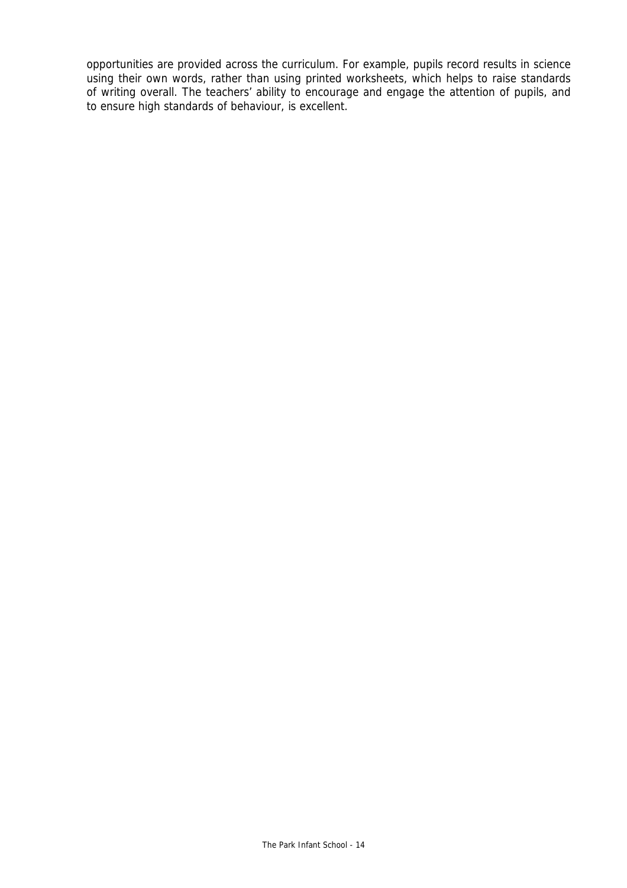opportunities are provided across the curriculum. For example, pupils record results in science using their own words, rather than using printed worksheets, which helps to raise standards of writing overall. The teachers' ability to encourage and engage the attention of pupils, and to ensure high standards of behaviour, is excellent.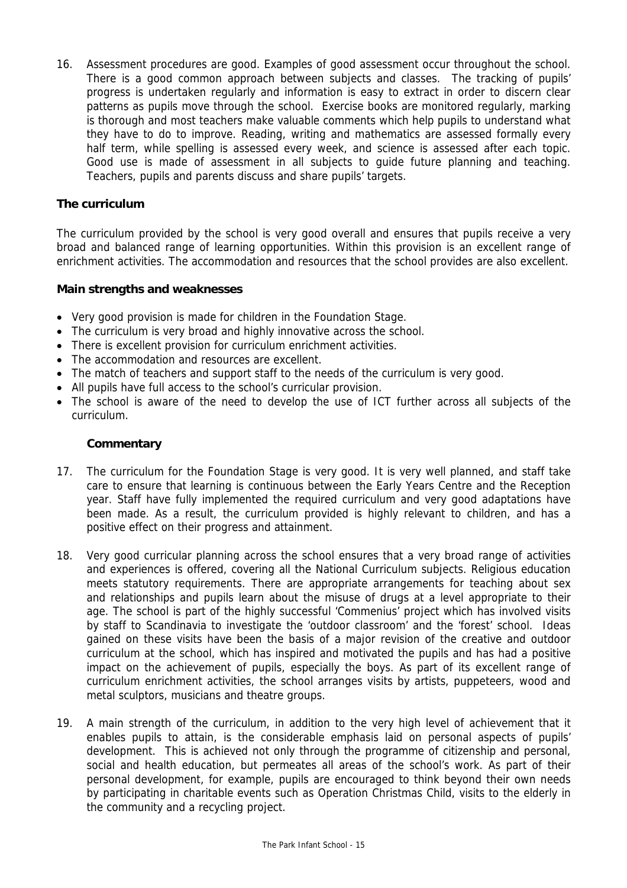16. Assessment procedures are good. Examples of good assessment occur throughout the school. There is a good common approach between subjects and classes. The tracking of pupils' progress is undertaken regularly and information is easy to extract in order to discern clear patterns as pupils move through the school. Exercise books are monitored regularly, marking is thorough and most teachers make valuable comments which help pupils to understand what they have to do to improve. Reading, writing and mathematics are assessed formally every half term, while spelling is assessed every week, and science is assessed after each topic. Good use is made of assessment in all subjects to guide future planning and teaching. Teachers, pupils and parents discuss and share pupils' targets.

### **The curriculum**

The curriculum provided by the school is very good overall and ensures that pupils receive a very broad and balanced range of learning opportunities. Within this provision is an excellent range of enrichment activities. The accommodation and resources that the school provides are also excellent.

### **Main strengths and weaknesses**

- Very good provision is made for children in the Foundation Stage.
- The curriculum is very broad and highly innovative across the school.
- There is excellent provision for curriculum enrichment activities.
- The accommodation and resources are excellent.
- The match of teachers and support staff to the needs of the curriculum is very good.
- All pupils have full access to the school's curricular provision.
- The school is aware of the need to develop the use of ICT further across all subjects of the curriculum.

- 17. The curriculum for the Foundation Stage is very good. It is very well planned, and staff take care to ensure that learning is continuous between the Early Years Centre and the Reception year. Staff have fully implemented the required curriculum and very good adaptations have been made. As a result, the curriculum provided is highly relevant to children, and has a positive effect on their progress and attainment.
- 18. Very good curricular planning across the school ensures that a very broad range of activities and experiences is offered, covering all the National Curriculum subjects. Religious education meets statutory requirements. There are appropriate arrangements for teaching about sex and relationships and pupils learn about the misuse of drugs at a level appropriate to their age. The school is part of the highly successful 'Commenius' project which has involved visits by staff to Scandinavia to investigate the 'outdoor classroom' and the 'forest' school. Ideas gained on these visits have been the basis of a major revision of the creative and outdoor curriculum at the school, which has inspired and motivated the pupils and has had a positive impact on the achievement of pupils, especially the boys. As part of its excellent range of curriculum enrichment activities, the school arranges visits by artists, puppeteers, wood and metal sculptors, musicians and theatre groups.
- 19. A main strength of the curriculum, in addition to the very high level of achievement that it enables pupils to attain, is the considerable emphasis laid on personal aspects of pupils' development. This is achieved not only through the programme of citizenship and personal, social and health education, but permeates all areas of the school's work. As part of their personal development, for example, pupils are encouraged to think beyond their own needs by participating in charitable events such as Operation Christmas Child, visits to the elderly in the community and a recycling project.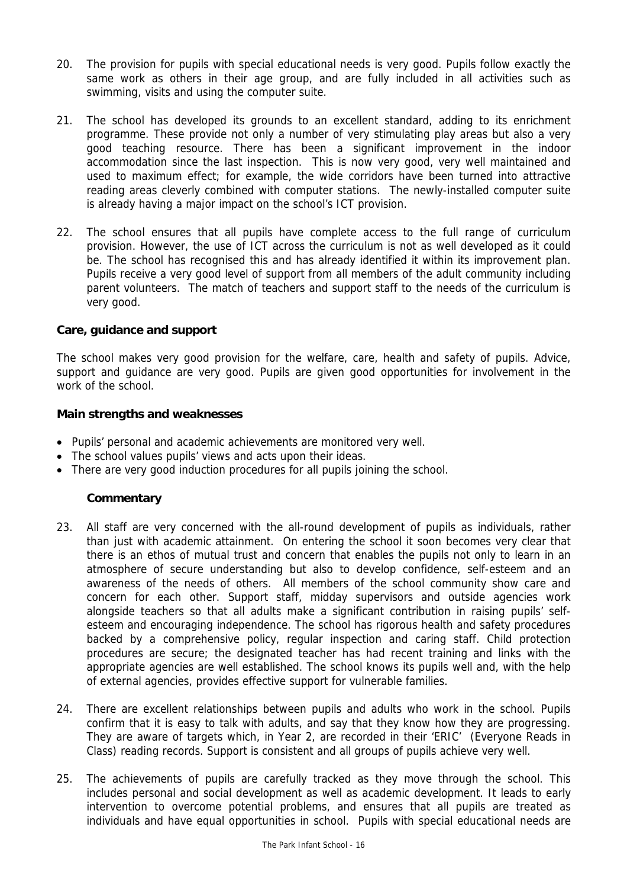- 20. The provision for pupils with special educational needs is very good. Pupils follow exactly the same work as others in their age group, and are fully included in all activities such as swimming, visits and using the computer suite.
- 21. The school has developed its grounds to an excellent standard, adding to its enrichment programme. These provide not only a number of very stimulating play areas but also a very good teaching resource. There has been a significant improvement in the indoor accommodation since the last inspection. This is now very good, very well maintained and used to maximum effect; for example, the wide corridors have been turned into attractive reading areas cleverly combined with computer stations. The newly-installed computer suite is already having a major impact on the school's ICT provision.
- 22. The school ensures that all pupils have complete access to the full range of curriculum provision. However, the use of ICT across the curriculum is not as well developed as it could be. The school has recognised this and has already identified it within its improvement plan. Pupils receive a very good level of support from all members of the adult community including parent volunteers. The match of teachers and support staff to the needs of the curriculum is very good.

### **Care, guidance and support**

The school makes very good provision for the welfare, care, health and safety of pupils. Advice, support and guidance are very good. Pupils are given good opportunities for involvement in the work of the school.

#### **Main strengths and weaknesses**

- Pupils' personal and academic achievements are monitored very well.
- The school values pupils' views and acts upon their ideas.
- There are very good induction procedures for all pupils joining the school.

- 23. All staff are very concerned with the all-round development of pupils as individuals, rather than just with academic attainment. On entering the school it soon becomes very clear that there is an ethos of mutual trust and concern that enables the pupils not only to learn in an atmosphere of secure understanding but also to develop confidence, self-esteem and an awareness of the needs of others. All members of the school community show care and concern for each other. Support staff, midday supervisors and outside agencies work alongside teachers so that all adults make a significant contribution in raising pupils' selfesteem and encouraging independence. The school has rigorous health and safety procedures backed by a comprehensive policy, regular inspection and caring staff. Child protection procedures are secure; the designated teacher has had recent training and links with the appropriate agencies are well established. The school knows its pupils well and, with the help of external agencies, provides effective support for vulnerable families.
- 24. There are excellent relationships between pupils and adults who work in the school. Pupils confirm that it is easy to talk with adults, and say that they know how they are progressing. They are aware of targets which, in Year 2, are recorded in their 'ERIC' (Everyone Reads in Class) reading records. Support is consistent and all groups of pupils achieve very well.
- 25. The achievements of pupils are carefully tracked as they move through the school. This includes personal and social development as well as academic development. It leads to early intervention to overcome potential problems, and ensures that all pupils are treated as individuals and have equal opportunities in school. Pupils with special educational needs are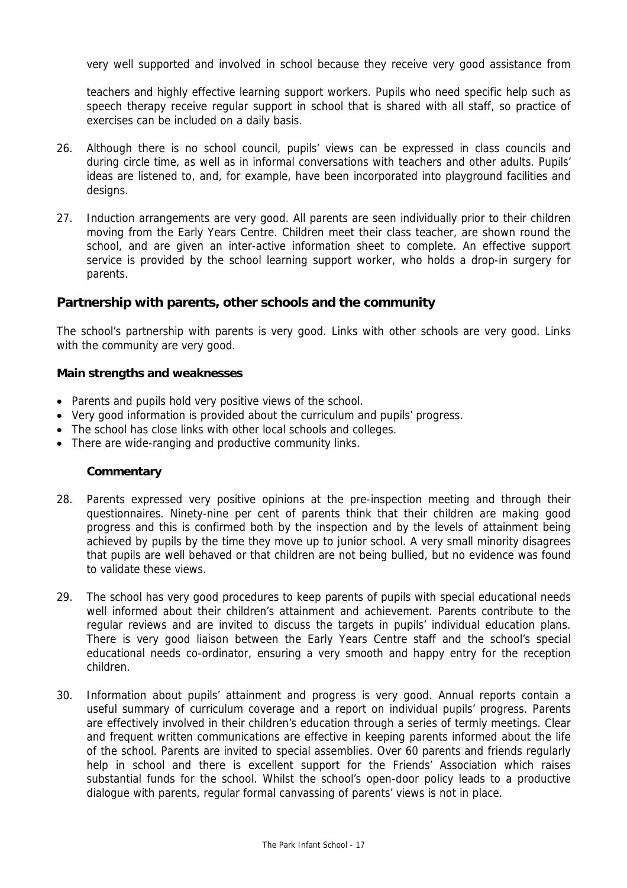very well supported and involved in school because they receive very good assistance from

teachers and highly effective learning support workers. Pupils who need specific help such as speech therapy receive regular support in school that is shared with all staff, so practice of exercises can be included on a daily basis.

- 26. Although there is no school council, pupils' views can be expressed in class councils and during circle time, as well as in informal conversations with teachers and other adults. Pupils' ideas are listened to, and, for example, have been incorporated into playground facilities and designs.
- 27. Induction arrangements are very good. All parents are seen individually prior to their children moving from the Early Years Centre. Children meet their class teacher, are shown round the school, and are given an inter-active information sheet to complete. An effective support service is provided by the school learning support worker, who holds a drop-in surgery for parents.

### **Partnership with parents, other schools and the community**

The school's partnership with parents is very good. Links with other schools are very good. Links with the community are very good.

#### **Main strengths and weaknesses**

- Parents and pupils hold very positive views of the school.
- Very good information is provided about the curriculum and pupils' progress.
- The school has close links with other local schools and colleges.
- There are wide-ranging and productive community links.

- 28. Parents expressed very positive opinions at the pre-inspection meeting and through their questionnaires. Ninety-nine per cent of parents think that their children are making good progress and this is confirmed both by the inspection and by the levels of attainment being achieved by pupils by the time they move up to junior school. A very small minority disagrees that pupils are well behaved or that children are not being bullied, but no evidence was found to validate these views.
- 29. The school has very good procedures to keep parents of pupils with special educational needs well informed about their children's attainment and achievement. Parents contribute to the regular reviews and are invited to discuss the targets in pupils' individual education plans. There is very good liaison between the Early Years Centre staff and the school's special educational needs co-ordinator, ensuring a very smooth and happy entry for the reception children.
- 30. Information about pupils' attainment and progress is very good. Annual reports contain a useful summary of curriculum coverage and a report on individual pupils' progress. Parents are effectively involved in their children's education through a series of termly meetings. Clear and frequent written communications are effective in keeping parents informed about the life of the school. Parents are invited to special assemblies. Over 60 parents and friends regularly help in school and there is excellent support for the Friends' Association which raises substantial funds for the school. Whilst the school's open-door policy leads to a productive dialogue with parents, regular formal canvassing of parents' views is not in place.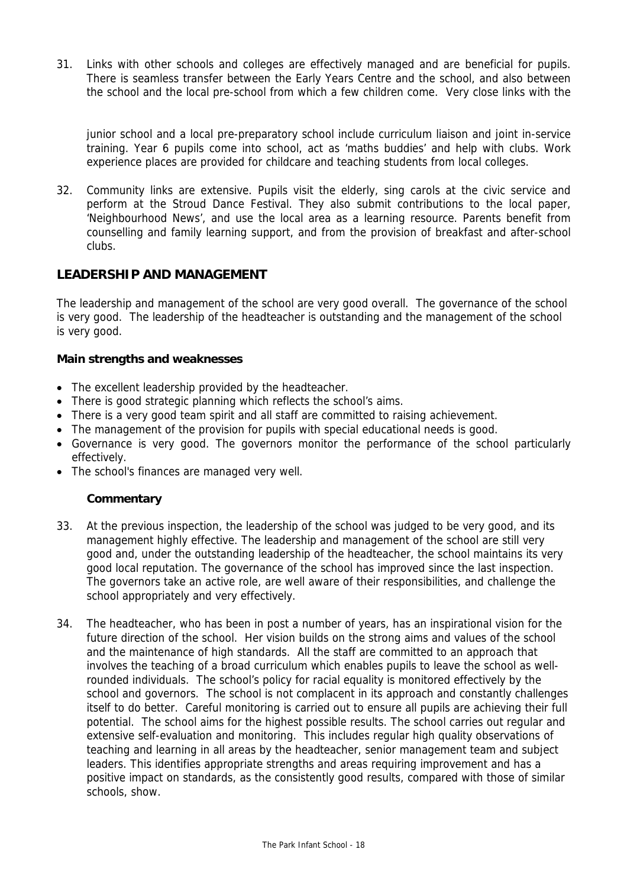31. Links with other schools and colleges are effectively managed and are beneficial for pupils. There is seamless transfer between the Early Years Centre and the school, and also between the school and the local pre-school from which a few children come. Very close links with the

junior school and a local pre-preparatory school include curriculum liaison and joint in-service training. Year 6 pupils come into school, act as 'maths buddies' and help with clubs. Work experience places are provided for childcare and teaching students from local colleges.

32. Community links are extensive. Pupils visit the elderly, sing carols at the civic service and perform at the Stroud Dance Festival. They also submit contributions to the local paper, 'Neighbourhood News', and use the local area as a learning resource. Parents benefit from counselling and family learning support, and from the provision of breakfast and after-school clubs.

## **LEADERSHIP AND MANAGEMENT**

The leadership and management of the school are very good overall. The governance of the school is very good. The leadership of the headteacher is outstanding and the management of the school is very good.

### **Main strengths and weaknesses**

- The excellent leadership provided by the headteacher.
- There is good strategic planning which reflects the school's aims.
- There is a very good team spirit and all staff are committed to raising achievement.
- The management of the provision for pupils with special educational needs is good.
- Governance is very good. The governors monitor the performance of the school particularly effectively.
- The school's finances are managed very well.

- 33. At the previous inspection, the leadership of the school was judged to be very good, and its management highly effective. The leadership and management of the school are still very good and, under the outstanding leadership of the headteacher, the school maintains its very good local reputation. The governance of the school has improved since the last inspection. The governors take an active role, are well aware of their responsibilities, and challenge the school appropriately and very effectively.
- 34. The headteacher, who has been in post a number of years, has an inspirational vision for the future direction of the school. Her vision builds on the strong aims and values of the school and the maintenance of high standards. All the staff are committed to an approach that involves the teaching of a broad curriculum which enables pupils to leave the school as wellrounded individuals. The school's policy for racial equality is monitored effectively by the school and governors. The school is not complacent in its approach and constantly challenges itself to do better. Careful monitoring is carried out to ensure all pupils are achieving their full potential. The school aims for the highest possible results. The school carries out regular and extensive self-evaluation and monitoring. This includes regular high quality observations of teaching and learning in all areas by the headteacher, senior management team and subject leaders. This identifies appropriate strengths and areas requiring improvement and has a positive impact on standards, as the consistently good results, compared with those of similar schools, show.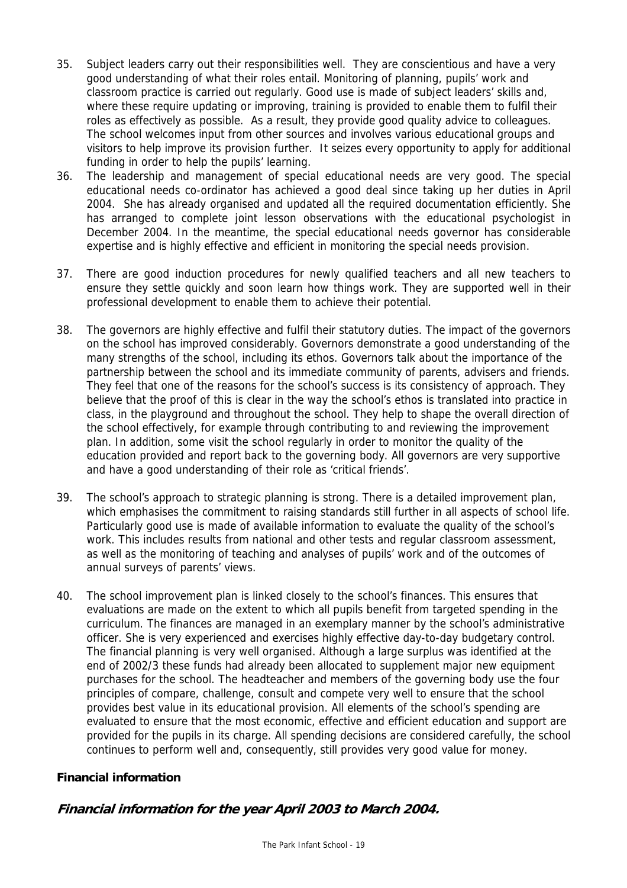- 35. Subject leaders carry out their responsibilities well. They are conscientious and have a very good understanding of what their roles entail. Monitoring of planning, pupils' work and classroom practice is carried out regularly. Good use is made of subject leaders' skills and, where these require updating or improving, training is provided to enable them to fulfil their roles as effectively as possible. As a result, they provide good quality advice to colleagues. The school welcomes input from other sources and involves various educational groups and visitors to help improve its provision further. It seizes every opportunity to apply for additional funding in order to help the pupils' learning.
- 36. The leadership and management of special educational needs are very good. The special educational needs co-ordinator has achieved a good deal since taking up her duties in April 2004. She has already organised and updated all the required documentation efficiently. She has arranged to complete joint lesson observations with the educational psychologist in December 2004. In the meantime, the special educational needs governor has considerable expertise and is highly effective and efficient in monitoring the special needs provision.
- 37. There are good induction procedures for newly qualified teachers and all new teachers to ensure they settle quickly and soon learn how things work. They are supported well in their professional development to enable them to achieve their potential.
- 38. The governors are highly effective and fulfil their statutory duties. The impact of the governors on the school has improved considerably. Governors demonstrate a good understanding of the many strengths of the school, including its ethos. Governors talk about the importance of the partnership between the school and its immediate community of parents, advisers and friends. They feel that one of the reasons for the school's success is its consistency of approach. They believe that the proof of this is clear in the way the school's ethos is translated into practice in class, in the playground and throughout the school. They help to shape the overall direction of the school effectively, for example through contributing to and reviewing the improvement plan. In addition, some visit the school regularly in order to monitor the quality of the education provided and report back to the governing body. All governors are very supportive and have a good understanding of their role as 'critical friends'.
- 39. The school's approach to strategic planning is strong. There is a detailed improvement plan, which emphasises the commitment to raising standards still further in all aspects of school life. Particularly good use is made of available information to evaluate the quality of the school's work. This includes results from national and other tests and regular classroom assessment, as well as the monitoring of teaching and analyses of pupils' work and of the outcomes of annual surveys of parents' views.
- 40. The school improvement plan is linked closely to the school's finances. This ensures that evaluations are made on the extent to which all pupils benefit from targeted spending in the curriculum. The finances are managed in an exemplary manner by the school's administrative officer. She is very experienced and exercises highly effective day-to-day budgetary control. The financial planning is very well organised. Although a large surplus was identified at the end of 2002/3 these funds had already been allocated to supplement major new equipment purchases for the school. The headteacher and members of the governing body use the four principles of compare, challenge, consult and compete very well to ensure that the school provides best value in its educational provision. All elements of the school's spending are evaluated to ensure that the most economic, effective and efficient education and support are provided for the pupils in its charge. All spending decisions are considered carefully, the school continues to perform well and, consequently, still provides very good value for money.

## **Financial information**

# **Financial information for the year April 2003 to March 2004.**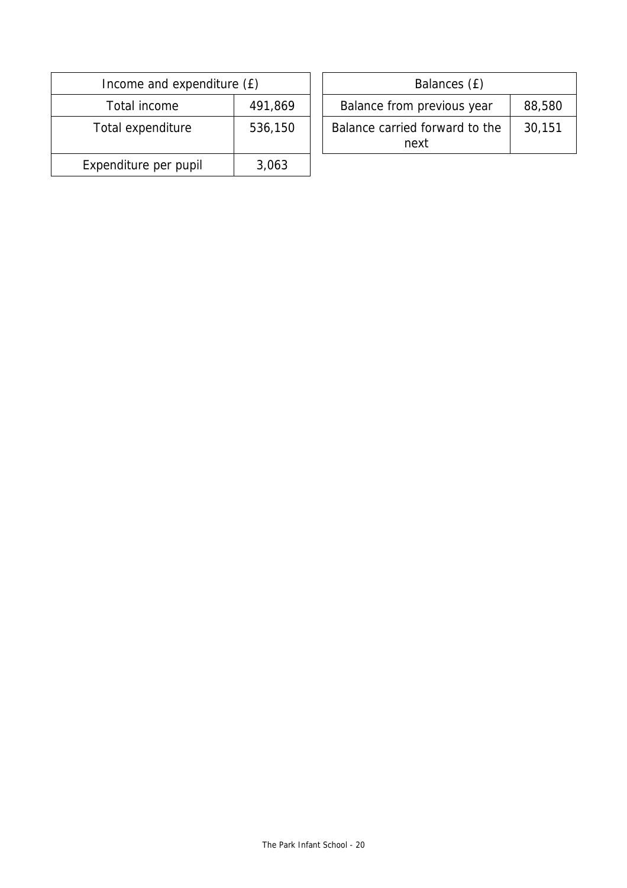| Income and expenditure (£) |         | Balances (£)                           |
|----------------------------|---------|----------------------------------------|
| Total income               | 491,869 | Balance from previous year             |
| Total expenditure          | 536,150 | Balance carried forward to the<br>next |
| Expenditure per pupil      | 3,063   |                                        |

| ncome and expenditure (£) |         | Balances (£)                           |        |  |
|---------------------------|---------|----------------------------------------|--------|--|
| Total income              | 491,869 | Balance from previous year             | 88,580 |  |
| tal expenditure           | 536,150 | Balance carried forward to the<br>next | 30,151 |  |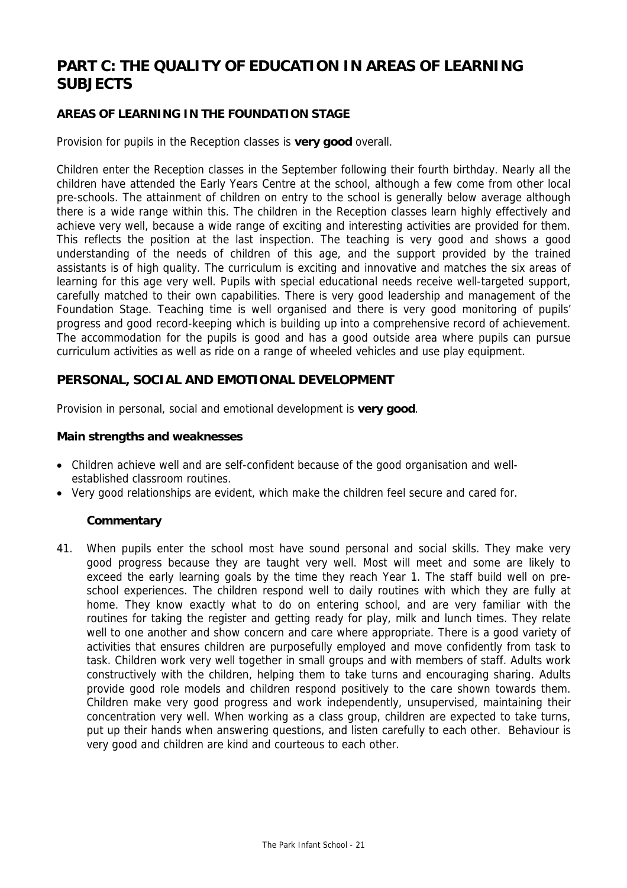# **PART C: THE QUALITY OF EDUCATION IN AREAS OF LEARNING SUBJECTS**

## **AREAS OF LEARNING IN THE FOUNDATION STAGE**

Provision for pupils in the Reception classes is **very good** overall.

Children enter the Reception classes in the September following their fourth birthday. Nearly all the children have attended the Early Years Centre at the school, although a few come from other local pre-schools. The attainment of children on entry to the school is generally below average although there is a wide range within this. The children in the Reception classes learn highly effectively and achieve very well, because a wide range of exciting and interesting activities are provided for them. This reflects the position at the last inspection. The teaching is very good and shows a good understanding of the needs of children of this age, and the support provided by the trained assistants is of high quality. The curriculum is exciting and innovative and matches the six areas of learning for this age very well. Pupils with special educational needs receive well-targeted support, carefully matched to their own capabilities. There is very good leadership and management of the Foundation Stage. Teaching time is well organised and there is very good monitoring of pupils' progress and good record-keeping which is building up into a comprehensive record of achievement. The accommodation for the pupils is good and has a good outside area where pupils can pursue curriculum activities as well as ride on a range of wheeled vehicles and use play equipment.

## **PERSONAL, SOCIAL AND EMOTIONAL DEVELOPMENT**

Provision in personal, social and emotional development is **very good**.

#### **Main strengths and weaknesses**

- Children achieve well and are self-confident because of the good organisation and wellestablished classroom routines.
- Very good relationships are evident, which make the children feel secure and cared for.

### **Commentary**

41. When pupils enter the school most have sound personal and social skills. They make very good progress because they are taught very well. Most will meet and some are likely to exceed the early learning goals by the time they reach Year 1. The staff build well on preschool experiences. The children respond well to daily routines with which they are fully at home. They know exactly what to do on entering school, and are very familiar with the routines for taking the register and getting ready for play, milk and lunch times. They relate well to one another and show concern and care where appropriate. There is a good variety of activities that ensures children are purposefully employed and move confidently from task to task. Children work very well together in small groups and with members of staff. Adults work constructively with the children, helping them to take turns and encouraging sharing. Adults provide good role models and children respond positively to the care shown towards them. Children make very good progress and work independently, unsupervised, maintaining their concentration very well. When working as a class group, children are expected to take turns, put up their hands when answering questions, and listen carefully to each other. Behaviour is very good and children are kind and courteous to each other.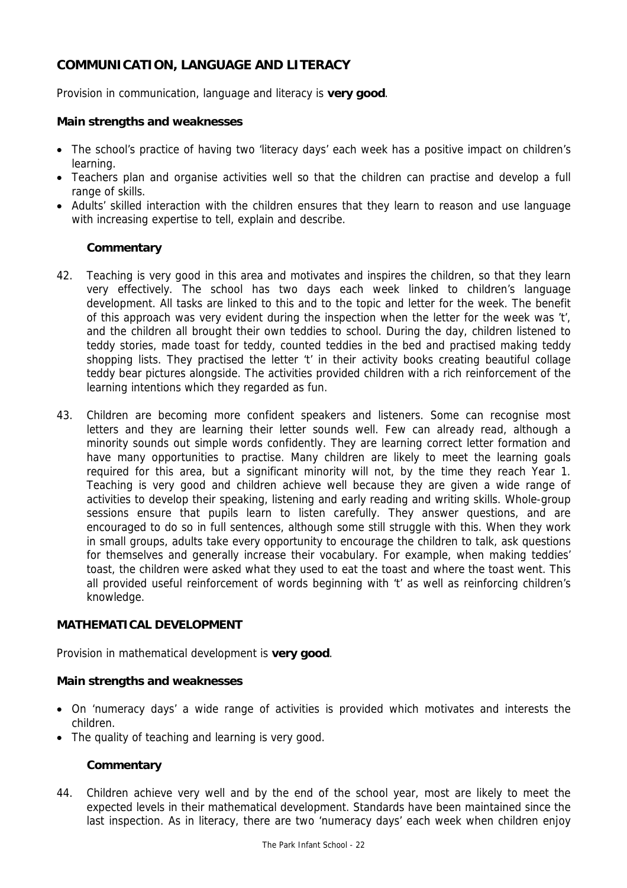# **COMMUNICATION, LANGUAGE AND LITERACY**

Provision in communication, language and literacy is **very good**.

### **Main strengths and weaknesses**

- The school's practice of having two 'literacy days' each week has a positive impact on children's learning.
- Teachers plan and organise activities well so that the children can practise and develop a full range of skills.
- Adults' skilled interaction with the children ensures that they learn to reason and use language with increasing expertise to tell, explain and describe.

### **Commentary**

- 42. Teaching is very good in this area and motivates and inspires the children, so that they learn very effectively. The school has two days each week linked to children's language development. All tasks are linked to this and to the topic and letter for the week. The benefit of this approach was very evident during the inspection when the letter for the week was 't', and the children all brought their own teddies to school. During the day, children listened to teddy stories, made toast for teddy, counted teddies in the bed and practised making teddy shopping lists. They practised the letter 't' in their activity books creating beautiful collage teddy bear pictures alongside. The activities provided children with a rich reinforcement of the learning intentions which they regarded as fun.
- 43. Children are becoming more confident speakers and listeners. Some can recognise most letters and they are learning their letter sounds well. Few can already read, although a minority sounds out simple words confidently. They are learning correct letter formation and have many opportunities to practise. Many children are likely to meet the learning goals required for this area, but a significant minority will not, by the time they reach Year 1. Teaching is very good and children achieve well because they are given a wide range of activities to develop their speaking, listening and early reading and writing skills. Whole-group sessions ensure that pupils learn to listen carefully. They answer questions, and are encouraged to do so in full sentences, although some still struggle with this. When they work in small groups, adults take every opportunity to encourage the children to talk, ask questions for themselves and generally increase their vocabulary. For example, when making teddies' toast, the children were asked what they used to eat the toast and where the toast went. This all provided useful reinforcement of words beginning with 't' as well as reinforcing children's knowledge.

### **MATHEMATICAL DEVELOPMENT**

Provision in mathematical development is **very good**.

#### **Main strengths and weaknesses**

- On 'numeracy days' a wide range of activities is provided which motivates and interests the children.
- The quality of teaching and learning is very good.

### **Commentary**

44. Children achieve very well and by the end of the school year, most are likely to meet the expected levels in their mathematical development. Standards have been maintained since the last inspection. As in literacy, there are two 'numeracy days' each week when children enjoy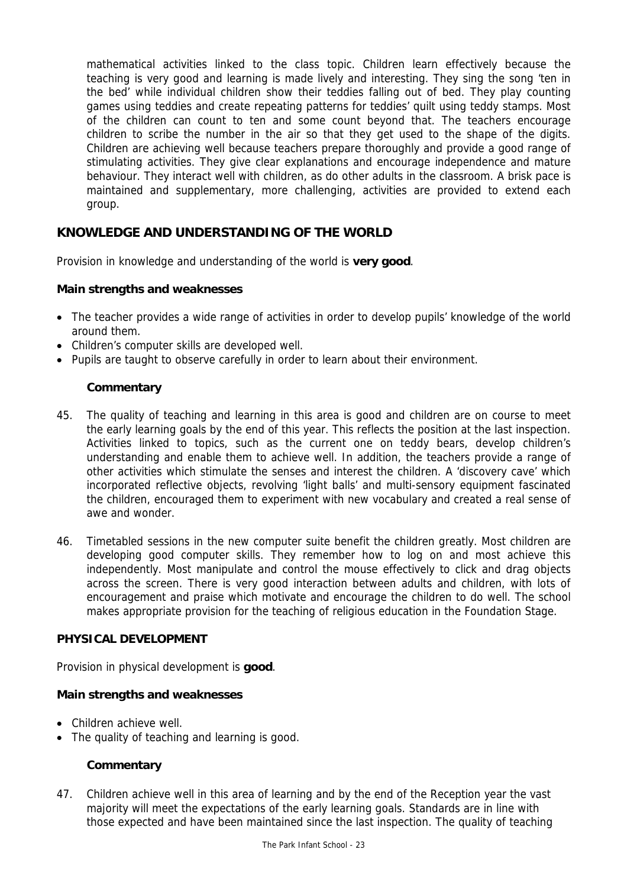mathematical activities linked to the class topic. Children learn effectively because the teaching is very good and learning is made lively and interesting. They sing the song 'ten in the bed' while individual children show their teddies falling out of bed. They play counting games using teddies and create repeating patterns for teddies' quilt using teddy stamps. Most of the children can count to ten and some count beyond that. The teachers encourage children to scribe the number in the air so that they get used to the shape of the digits. Children are achieving well because teachers prepare thoroughly and provide a good range of stimulating activities. They give clear explanations and encourage independence and mature behaviour. They interact well with children, as do other adults in the classroom. A brisk pace is maintained and supplementary, more challenging, activities are provided to extend each group.

# **KNOWLEDGE AND UNDERSTANDING OF THE WORLD**

Provision in knowledge and understanding of the world is **very good**.

### **Main strengths and weaknesses**

- The teacher provides a wide range of activities in order to develop pupils' knowledge of the world around them.
- Children's computer skills are developed well.
- Pupils are taught to observe carefully in order to learn about their environment.

## **Commentary**

- 45. The quality of teaching and learning in this area is good and children are on course to meet the early learning goals by the end of this year. This reflects the position at the last inspection. Activities linked to topics, such as the current one on teddy bears, develop children's understanding and enable them to achieve well. In addition, the teachers provide a range of other activities which stimulate the senses and interest the children. A 'discovery cave' which incorporated reflective objects, revolving 'light balls' and multi-sensory equipment fascinated the children, encouraged them to experiment with new vocabulary and created a real sense of awe and wonder.
- 46. Timetabled sessions in the new computer suite benefit the children greatly. Most children are developing good computer skills. They remember how to log on and most achieve this independently. Most manipulate and control the mouse effectively to click and drag objects across the screen. There is very good interaction between adults and children, with lots of encouragement and praise which motivate and encourage the children to do well. The school makes appropriate provision for the teaching of religious education in the Foundation Stage.

### **PHYSICAL DEVELOPMENT**

Provision in physical development is **good**.

### **Main strengths and weaknesses**

- Children achieve well.
- The quality of teaching and learning is good.

### **Commentary**

47. Children achieve well in this area of learning and by the end of the Reception year the vast majority will meet the expectations of the early learning goals. Standards are in line with those expected and have been maintained since the last inspection. The quality of teaching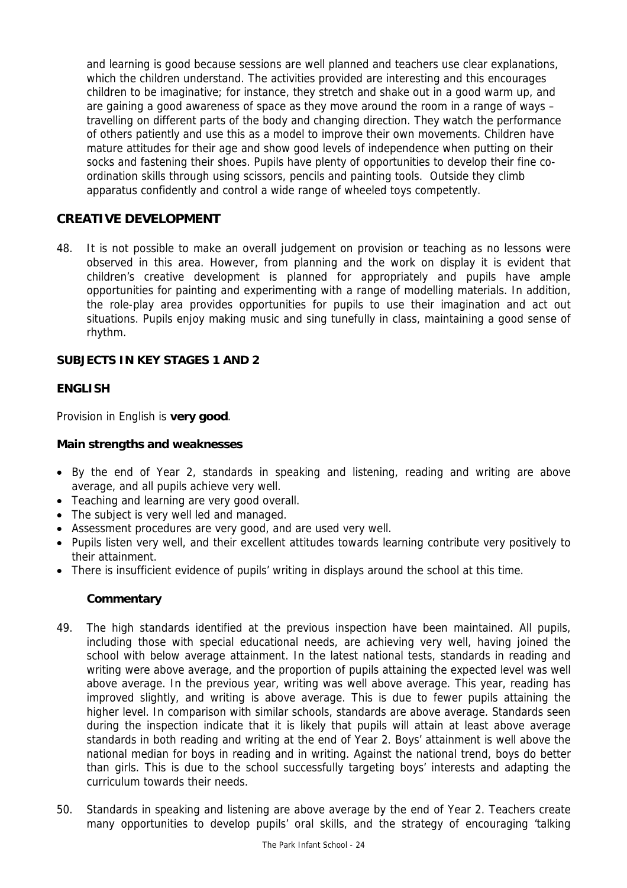and learning is good because sessions are well planned and teachers use clear explanations, which the children understand. The activities provided are interesting and this encourages children to be imaginative; for instance, they stretch and shake out in a good warm up, and are gaining a good awareness of space as they move around the room in a range of ways – travelling on different parts of the body and changing direction. They watch the performance of others patiently and use this as a model to improve their own movements. Children have mature attitudes for their age and show good levels of independence when putting on their socks and fastening their shoes. Pupils have plenty of opportunities to develop their fine coordination skills through using scissors, pencils and painting tools. Outside they climb apparatus confidently and control a wide range of wheeled toys competently.

# **CREATIVE DEVELOPMENT**

48. It is not possible to make an overall judgement on provision or teaching as no lessons were observed in this area. However, from planning and the work on display it is evident that children's creative development is planned for appropriately and pupils have ample opportunities for painting and experimenting with a range of modelling materials. In addition, the role-play area provides opportunities for pupils to use their imagination and act out situations. Pupils enjoy making music and sing tunefully in class, maintaining a good sense of rhythm.

### **SUBJECTS IN KEY STAGES 1 AND 2**

#### **ENGLISH**

Provision in English is **very good**.

#### **Main strengths and weaknesses**

- By the end of Year 2, standards in speaking and listening, reading and writing are above average, and all pupils achieve very well.
- Teaching and learning are very good overall.
- The subject is very well led and managed.
- Assessment procedures are very good, and are used very well.
- Pupils listen very well, and their excellent attitudes towards learning contribute very positively to their attainment.
- There is insufficient evidence of pupils' writing in displays around the school at this time.

- 49. The high standards identified at the previous inspection have been maintained. All pupils, including those with special educational needs, are achieving very well, having joined the school with below average attainment. In the latest national tests, standards in reading and writing were above average, and the proportion of pupils attaining the expected level was well above average. In the previous year, writing was well above average. This year, reading has improved slightly, and writing is above average. This is due to fewer pupils attaining the higher level. In comparison with similar schools, standards are above average. Standards seen during the inspection indicate that it is likely that pupils will attain at least above average standards in both reading and writing at the end of Year 2. Boys' attainment is well above the national median for boys in reading and in writing. Against the national trend, boys do better than girls. This is due to the school successfully targeting boys' interests and adapting the curriculum towards their needs.
- 50. Standards in speaking and listening are above average by the end of Year 2. Teachers create many opportunities to develop pupils' oral skills, and the strategy of encouraging 'talking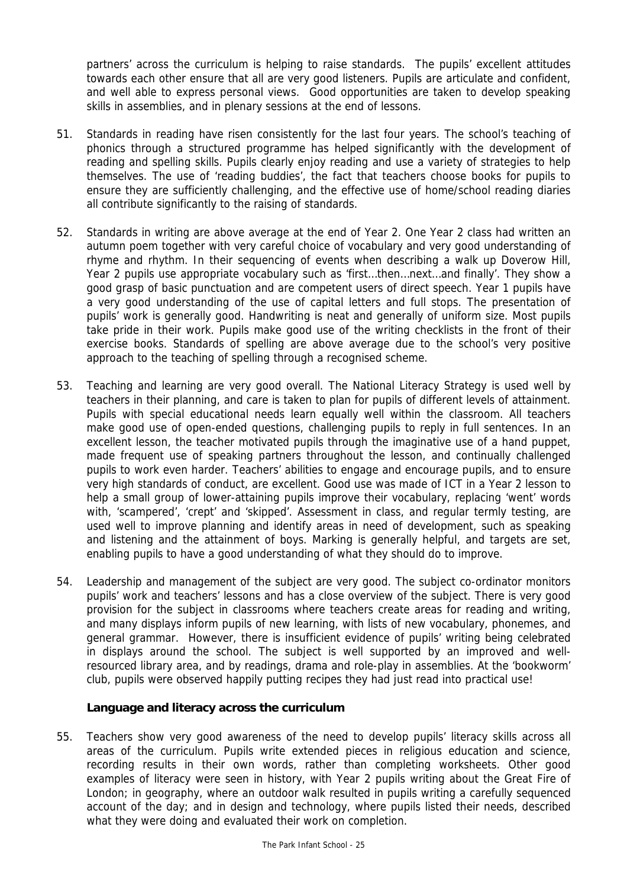partners' across the curriculum is helping to raise standards. The pupils' excellent attitudes towards each other ensure that all are very good listeners. Pupils are articulate and confident, and well able to express personal views. Good opportunities are taken to develop speaking skills in assemblies, and in plenary sessions at the end of lessons.

- 51. Standards in reading have risen consistently for the last four years. The school's teaching of phonics through a structured programme has helped significantly with the development of reading and spelling skills. Pupils clearly enjoy reading and use a variety of strategies to help themselves. The use of 'reading buddies', the fact that teachers choose books for pupils to ensure they are sufficiently challenging, and the effective use of home/school reading diaries all contribute significantly to the raising of standards.
- 52. Standards in writing are above average at the end of Year 2. One Year 2 class had written an autumn poem together with very careful choice of vocabulary and very good understanding of rhyme and rhythm. In their sequencing of events when describing a walk up Doverow Hill, Year 2 pupils use appropriate vocabulary such as 'first…then…next…and finally'. They show a good grasp of basic punctuation and are competent users of direct speech. Year 1 pupils have a very good understanding of the use of capital letters and full stops. The presentation of pupils' work is generally good. Handwriting is neat and generally of uniform size. Most pupils take pride in their work. Pupils make good use of the writing checklists in the front of their exercise books. Standards of spelling are above average due to the school's very positive approach to the teaching of spelling through a recognised scheme.
- 53. Teaching and learning are very good overall. The National Literacy Strategy is used well by teachers in their planning, and care is taken to plan for pupils of different levels of attainment. Pupils with special educational needs learn equally well within the classroom. All teachers make good use of open-ended questions, challenging pupils to reply in full sentences. In an excellent lesson, the teacher motivated pupils through the imaginative use of a hand puppet, made frequent use of speaking partners throughout the lesson, and continually challenged pupils to work even harder. Teachers' abilities to engage and encourage pupils, and to ensure very high standards of conduct, are excellent. Good use was made of ICT in a Year 2 lesson to help a small group of lower-attaining pupils improve their vocabulary, replacing 'went' words with, 'scampered', 'crept' and 'skipped'. Assessment in class, and regular termly testing, are used well to improve planning and identify areas in need of development, such as speaking and listening and the attainment of boys. Marking is generally helpful, and targets are set, enabling pupils to have a good understanding of what they should do to improve.
- 54. Leadership and management of the subject are very good. The subject co-ordinator monitors pupils' work and teachers' lessons and has a close overview of the subject. There is very good provision for the subject in classrooms where teachers create areas for reading and writing, and many displays inform pupils of new learning, with lists of new vocabulary, phonemes, and general grammar. However, there is insufficient evidence of pupils' writing being celebrated in displays around the school. The subject is well supported by an improved and wellresourced library area, and by readings, drama and role-play in assemblies. At the 'bookworm' club, pupils were observed happily putting recipes they had just read into practical use!

### **Language and literacy across the curriculum**

55. Teachers show very good awareness of the need to develop pupils' literacy skills across all areas of the curriculum. Pupils write extended pieces in religious education and science, recording results in their own words, rather than completing worksheets. Other good examples of literacy were seen in history, with Year 2 pupils writing about the Great Fire of London; in geography, where an outdoor walk resulted in pupils writing a carefully sequenced account of the day; and in design and technology, where pupils listed their needs, described what they were doing and evaluated their work on completion.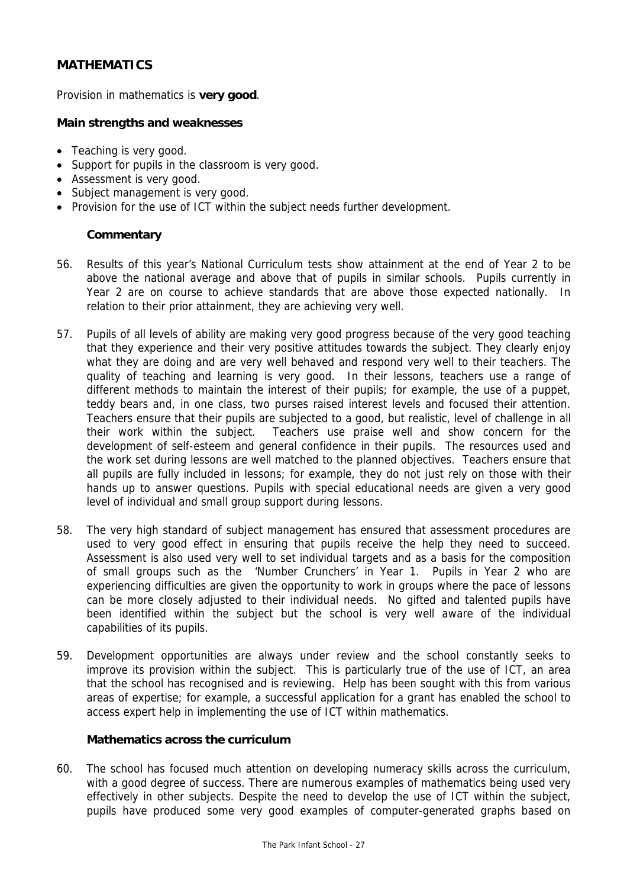# **MATHEMATICS**

Provision in mathematics is **very good**.

### **Main strengths and weaknesses**

- Teaching is very good.
- Support for pupils in the classroom is very good.
- Assessment is very good.
- Subject management is very good.
- Provision for the use of ICT within the subject needs further development.

## **Commentary**

- 56. Results of this year's National Curriculum tests show attainment at the end of Year 2 to be above the national average and above that of pupils in similar schools. Pupils currently in Year 2 are on course to achieve standards that are above those expected nationally. In relation to their prior attainment, they are achieving very well.
- 57. Pupils of all levels of ability are making very good progress because of the very good teaching that they experience and their very positive attitudes towards the subject. They clearly enjoy what they are doing and are very well behaved and respond very well to their teachers. The quality of teaching and learning is very good. In their lessons, teachers use a range of different methods to maintain the interest of their pupils; for example, the use of a puppet, teddy bears and, in one class, two purses raised interest levels and focused their attention. Teachers ensure that their pupils are subjected to a good, but realistic, level of challenge in all their work within the subject. Teachers use praise well and show concern for the development of self-esteem and general confidence in their pupils. The resources used and the work set during lessons are well matched to the planned objectives. Teachers ensure that all pupils are fully included in lessons; for example, they do not just rely on those with their hands up to answer questions. Pupils with special educational needs are given a very good level of individual and small group support during lessons.
- 58. The very high standard of subject management has ensured that assessment procedures are used to very good effect in ensuring that pupils receive the help they need to succeed. Assessment is also used very well to set individual targets and as a basis for the composition of small groups such as the 'Number Crunchers' in Year 1. Pupils in Year 2 who are experiencing difficulties are given the opportunity to work in groups where the pace of lessons can be more closely adjusted to their individual needs. No gifted and talented pupils have been identified within the subject but the school is very well aware of the individual capabilities of its pupils.
- 59. Development opportunities are always under review and the school constantly seeks to improve its provision within the subject. This is particularly true of the use of ICT, an area that the school has recognised and is reviewing. Help has been sought with this from various areas of expertise; for example, a successful application for a grant has enabled the school to access expert help in implementing the use of ICT within mathematics.

### **Mathematics across the curriculum**

60. The school has focused much attention on developing numeracy skills across the curriculum, with a good degree of success. There are numerous examples of mathematics being used very effectively in other subjects. Despite the need to develop the use of ICT within the subject, pupils have produced some very good examples of computer-generated graphs based on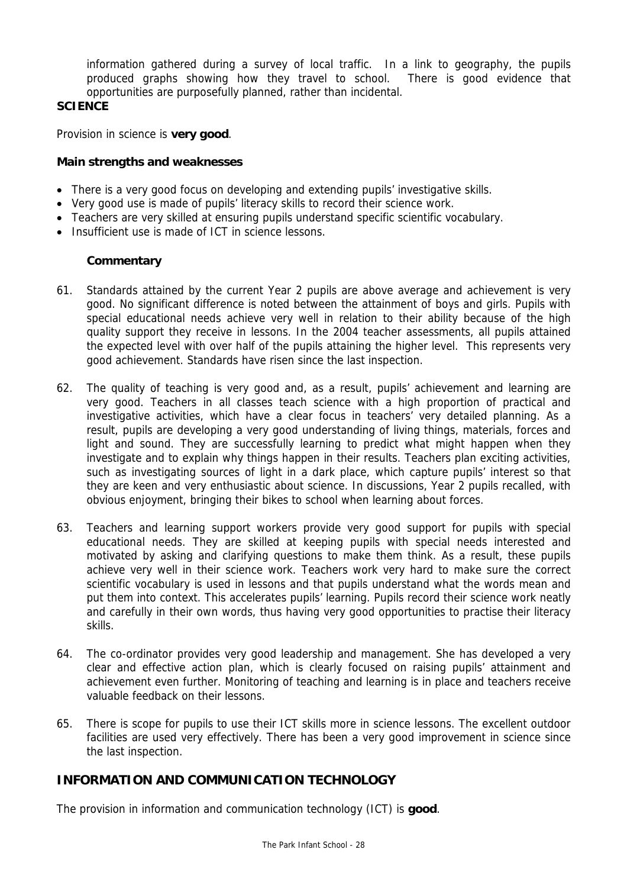information gathered during a survey of local traffic. In a link to geography, the pupils produced graphs showing how they travel to school. There is good evidence that opportunities are purposefully planned, rather than incidental.

## **SCIENCE**

Provision in science is **very good**.

#### **Main strengths and weaknesses**

- There is a very good focus on developing and extending pupils' investigative skills.
- Very good use is made of pupils' literacy skills to record their science work.
- Teachers are very skilled at ensuring pupils understand specific scientific vocabulary.
- Insufficient use is made of ICT in science lessons.

#### **Commentary**

- 61. Standards attained by the current Year 2 pupils are above average and achievement is very good. No significant difference is noted between the attainment of boys and girls. Pupils with special educational needs achieve very well in relation to their ability because of the high quality support they receive in lessons. In the 2004 teacher assessments, all pupils attained the expected level with over half of the pupils attaining the higher level. This represents very good achievement. Standards have risen since the last inspection.
- 62. The quality of teaching is very good and, as a result, pupils' achievement and learning are very good. Teachers in all classes teach science with a high proportion of practical and investigative activities, which have a clear focus in teachers' very detailed planning. As a result, pupils are developing a very good understanding of living things, materials, forces and light and sound. They are successfully learning to predict what might happen when they investigate and to explain why things happen in their results. Teachers plan exciting activities, such as investigating sources of light in a dark place, which capture pupils' interest so that they are keen and very enthusiastic about science. In discussions, Year 2 pupils recalled, with obvious enjoyment, bringing their bikes to school when learning about forces.
- 63. Teachers and learning support workers provide very good support for pupils with special educational needs. They are skilled at keeping pupils with special needs interested and motivated by asking and clarifying questions to make them think. As a result, these pupils achieve very well in their science work. Teachers work very hard to make sure the correct scientific vocabulary is used in lessons and that pupils understand what the words mean and put them into context. This accelerates pupils' learning. Pupils record their science work neatly and carefully in their own words, thus having very good opportunities to practise their literacy skills.
- 64. The co-ordinator provides very good leadership and management. She has developed a very clear and effective action plan, which is clearly focused on raising pupils' attainment and achievement even further. Monitoring of teaching and learning is in place and teachers receive valuable feedback on their lessons.
- 65. There is scope for pupils to use their ICT skills more in science lessons. The excellent outdoor facilities are used very effectively. There has been a very good improvement in science since the last inspection.

## **INFORMATION AND COMMUNICATION TECHNOLOGY**

The provision in information and communication technology (ICT) is **good**.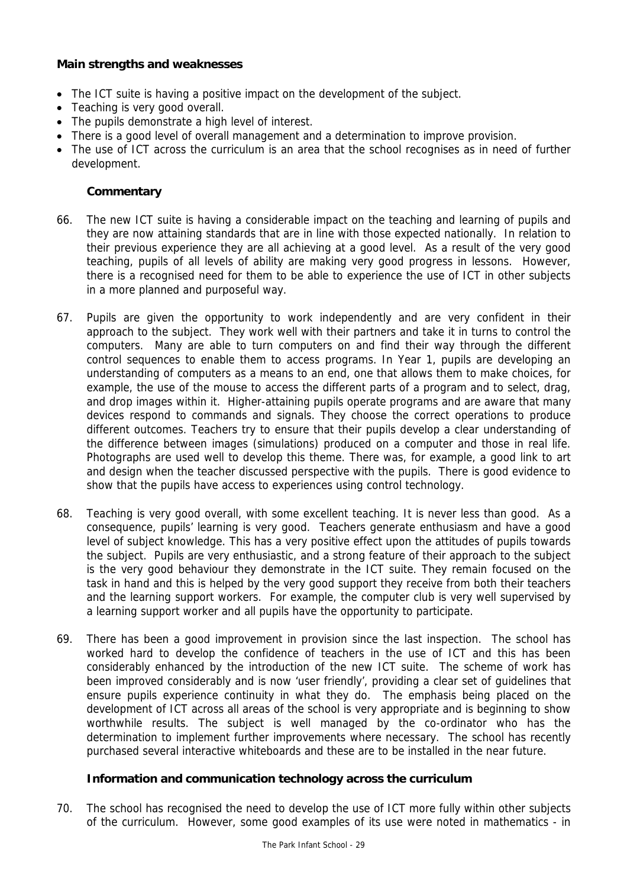### **Main strengths and weaknesses**

- The ICT suite is having a positive impact on the development of the subject.
- Teaching is very good overall.
- The pupils demonstrate a high level of interest.
- There is a good level of overall management and a determination to improve provision.
- The use of ICT across the curriculum is an area that the school recognises as in need of further development.

### **Commentary**

- 66. The new ICT suite is having a considerable impact on the teaching and learning of pupils and they are now attaining standards that are in line with those expected nationally. In relation to their previous experience they are all achieving at a good level. As a result of the very good teaching, pupils of all levels of ability are making very good progress in lessons. However, there is a recognised need for them to be able to experience the use of ICT in other subjects in a more planned and purposeful way.
- 67. Pupils are given the opportunity to work independently and are very confident in their approach to the subject. They work well with their partners and take it in turns to control the computers. Many are able to turn computers on and find their way through the different control sequences to enable them to access programs. In Year 1, pupils are developing an understanding of computers as a means to an end, one that allows them to make choices, for example, the use of the mouse to access the different parts of a program and to select, drag, and drop images within it. Higher-attaining pupils operate programs and are aware that many devices respond to commands and signals. They choose the correct operations to produce different outcomes. Teachers try to ensure that their pupils develop a clear understanding of the difference between images (simulations) produced on a computer and those in real life. Photographs are used well to develop this theme. There was, for example, a good link to art and design when the teacher discussed perspective with the pupils. There is good evidence to show that the pupils have access to experiences using control technology.
- 68. Teaching is very good overall, with some excellent teaching. It is never less than good. As a consequence, pupils' learning is very good. Teachers generate enthusiasm and have a good level of subject knowledge. This has a very positive effect upon the attitudes of pupils towards the subject. Pupils are very enthusiastic, and a strong feature of their approach to the subject is the very good behaviour they demonstrate in the ICT suite. They remain focused on the task in hand and this is helped by the very good support they receive from both their teachers and the learning support workers. For example, the computer club is very well supervised by a learning support worker and all pupils have the opportunity to participate.
- 69. There has been a good improvement in provision since the last inspection. The school has worked hard to develop the confidence of teachers in the use of ICT and this has been considerably enhanced by the introduction of the new ICT suite. The scheme of work has been improved considerably and is now 'user friendly', providing a clear set of guidelines that ensure pupils experience continuity in what they do. The emphasis being placed on the development of ICT across all areas of the school is very appropriate and is beginning to show worthwhile results. The subject is well managed by the co-ordinator who has the determination to implement further improvements where necessary. The school has recently purchased several interactive whiteboards and these are to be installed in the near future.

#### **Information and communication technology across the curriculum**

70. The school has recognised the need to develop the use of ICT more fully within other subjects of the curriculum. However, some good examples of its use were noted in mathematics - in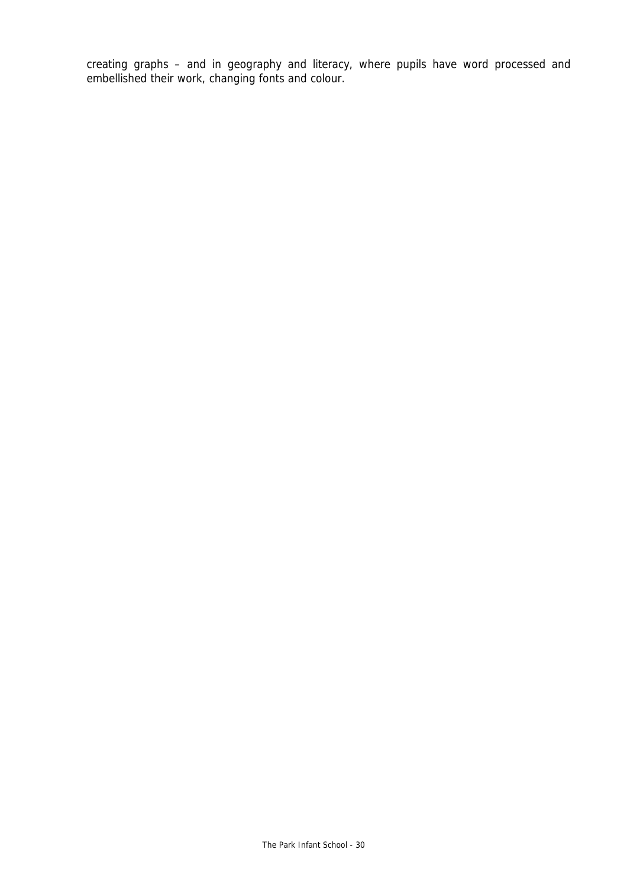creating graphs – and in geography and literacy, where pupils have word processed and embellished their work, changing fonts and colour.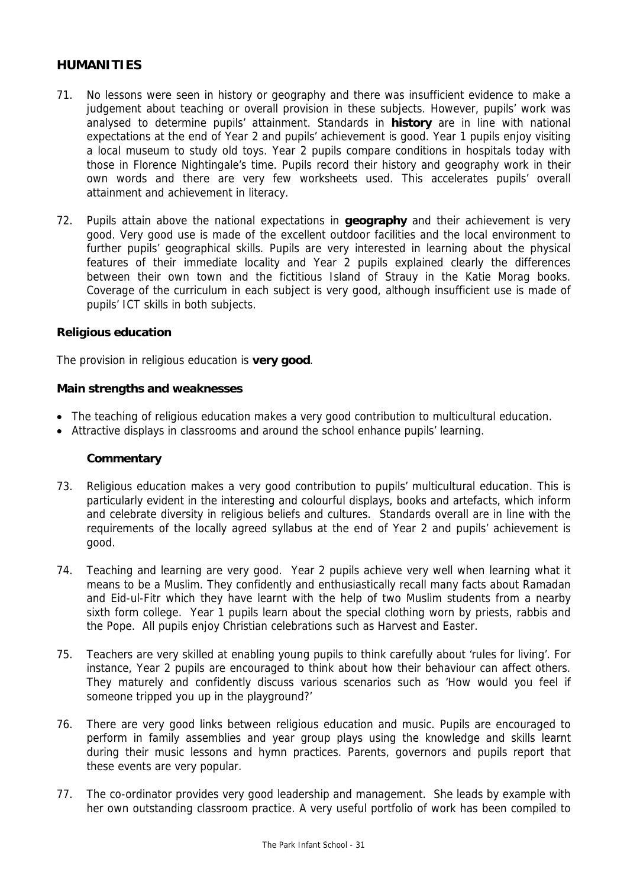## **HUMANITIES**

- 71. No lessons were seen in history or geography and there was insufficient evidence to make a judgement about teaching or overall provision in these subjects. However, pupils' work was analysed to determine pupils' attainment. Standards in **history** are in line with national expectations at the end of Year 2 and pupils' achievement is good. Year 1 pupils enjoy visiting a local museum to study old toys. Year 2 pupils compare conditions in hospitals today with those in Florence Nightingale's time. Pupils record their history and geography work in their own words and there are very few worksheets used. This accelerates pupils' overall attainment and achievement in literacy.
- 72. Pupils attain above the national expectations in **geography** and their achievement is very good. Very good use is made of the excellent outdoor facilities and the local environment to further pupils' geographical skills. Pupils are very interested in learning about the physical features of their immediate locality and Year 2 pupils explained clearly the differences between their own town and the fictitious Island of Strauy in the Katie Morag books. Coverage of the curriculum in each subject is very good, although insufficient use is made of pupils' ICT skills in both subjects.

#### **Religious education**

The provision in religious education is **very good**.

#### **Main strengths and weaknesses**

- The teaching of religious education makes a very good contribution to multicultural education.
- Attractive displays in classrooms and around the school enhance pupils' learning.

- 73. Religious education makes a very good contribution to pupils' multicultural education. This is particularly evident in the interesting and colourful displays, books and artefacts, which inform and celebrate diversity in religious beliefs and cultures. Standards overall are in line with the requirements of the locally agreed syllabus at the end of Year 2 and pupils' achievement is good.
- 74. Teaching and learning are very good. Year 2 pupils achieve very well when learning what it means to be a Muslim. They confidently and enthusiastically recall many facts about Ramadan and Eid-ul-Fitr which they have learnt with the help of two Muslim students from a nearby sixth form college. Year 1 pupils learn about the special clothing worn by priests, rabbis and the Pope. All pupils enjoy Christian celebrations such as Harvest and Easter.
- 75. Teachers are very skilled at enabling young pupils to think carefully about 'rules for living'. For instance, Year 2 pupils are encouraged to think about how their behaviour can affect others. They maturely and confidently discuss various scenarios such as 'How would you feel if someone tripped you up in the playground?'
- 76. There are very good links between religious education and music. Pupils are encouraged to perform in family assemblies and year group plays using the knowledge and skills learnt during their music lessons and hymn practices. Parents, governors and pupils report that these events are very popular.
- 77. The co-ordinator provides very good leadership and management. She leads by example with her own outstanding classroom practice. A very useful portfolio of work has been compiled to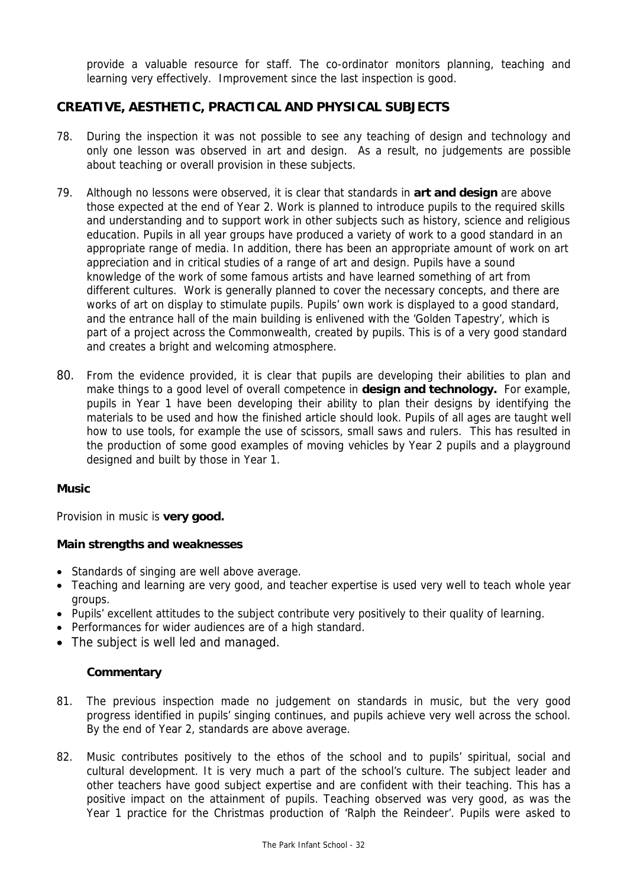provide a valuable resource for staff. The co-ordinator monitors planning, teaching and learning very effectively. Improvement since the last inspection is good.

## **CREATIVE, AESTHETIC, PRACTICAL AND PHYSICAL SUBJECTS**

- 78. During the inspection it was not possible to see any teaching of design and technology and only one lesson was observed in art and design.As a result, no judgements are possible about teaching or overall provision in these subjects.
- 79. Although no lessons were observed, it is clear that standards in **art and design** are above those expected at the end of Year 2. Work is planned to introduce pupils to the required skills and understanding and to support work in other subjects such as history, science and religious education. Pupils in all year groups have produced a variety of work to a good standard in an appropriate range of media. In addition, there has been an appropriate amount of work on art appreciation and in critical studies of a range of art and design. Pupils have a sound knowledge of the work of some famous artists and have learned something of art from different cultures. Work is generally planned to cover the necessary concepts, and there are works of art on display to stimulate pupils. Pupils' own work is displayed to a good standard, and the entrance hall of the main building is enlivened with the 'Golden Tapestry', which is part of a project across the Commonwealth, created by pupils. This is of a very good standard and creates a bright and welcoming atmosphere.
- 80. From the evidence provided, it is clear that pupils are developing their abilities to plan and make things to a good level of overall competence in **design and technology.** For example, pupils in Year 1 have been developing their ability to plan their designs by identifying the materials to be used and how the finished article should look. Pupils of all ages are taught well how to use tools, for example the use of scissors, small saws and rulers. This has resulted in the production of some good examples of moving vehicles by Year 2 pupils and a playground designed and built by those in Year 1.

#### **Music**

Provision in music is **very good.** 

### **Main strengths and weaknesses**

- Standards of singing are well above average.
- Teaching and learning are very good, and teacher expertise is used very well to teach whole year groups.
- Pupils' excellent attitudes to the subject contribute very positively to their quality of learning.
- Performances for wider audiences are of a high standard.
- The subject is well led and managed.

- 81. The previous inspection made no judgement on standards in music, but the very good progress identified in pupils' singing continues, and pupils achieve very well across the school. By the end of Year 2, standards are above average.
- 82. Music contributes positively to the ethos of the school and to pupils' spiritual, social and cultural development. It is very much a part of the school's culture. The subject leader and other teachers have good subject expertise and are confident with their teaching. This has a positive impact on the attainment of pupils. Teaching observed was very good, as was the Year 1 practice for the Christmas production of 'Ralph the Reindeer'. Pupils were asked to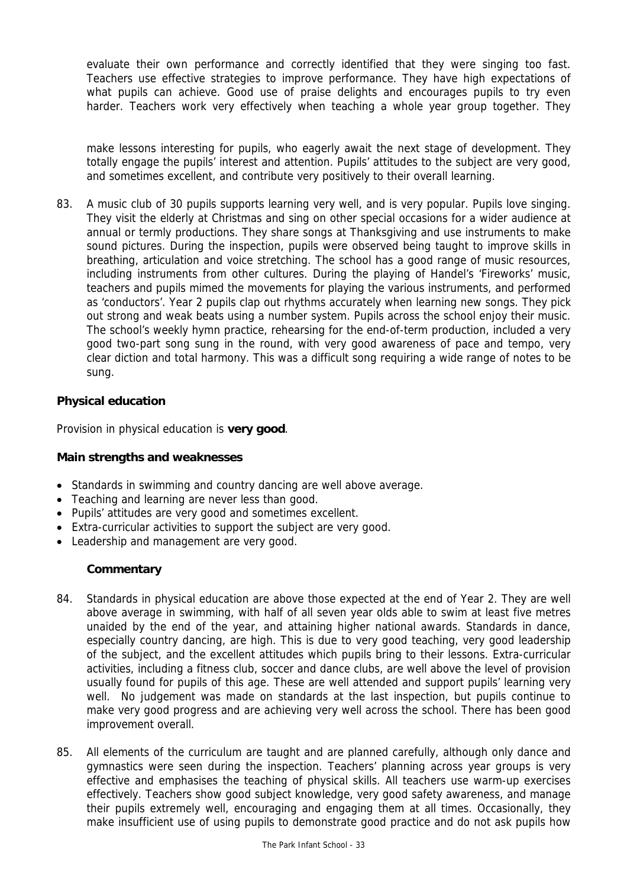evaluate their own performance and correctly identified that they were singing too fast. Teachers use effective strategies to improve performance. They have high expectations of what pupils can achieve. Good use of praise delights and encourages pupils to try even harder. Teachers work very effectively when teaching a whole year group together. They

make lessons interesting for pupils, who eagerly await the next stage of development. They totally engage the pupils' interest and attention. Pupils' attitudes to the subject are very good, and sometimes excellent, and contribute very positively to their overall learning.

83. A music club of 30 pupils supports learning very well, and is very popular. Pupils love singing. They visit the elderly at Christmas and sing on other special occasions for a wider audience at annual or termly productions. They share songs at Thanksgiving and use instruments to make sound pictures. During the inspection, pupils were observed being taught to improve skills in breathing, articulation and voice stretching. The school has a good range of music resources, including instruments from other cultures. During the playing of Handel's 'Fireworks' music, teachers and pupils mimed the movements for playing the various instruments, and performed as 'conductors'. Year 2 pupils clap out rhythms accurately when learning new songs. They pick out strong and weak beats using a number system. Pupils across the school enjoy their music. The school's weekly hymn practice, rehearsing for the end-of-term production, included a very good two-part song sung in the round, with very good awareness of pace and tempo, very clear diction and total harmony. This was a difficult song requiring a wide range of notes to be sung.

## **Physical education**

Provision in physical education is **very good**.

### **Main strengths and weaknesses**

- Standards in swimming and country dancing are well above average.
- Teaching and learning are never less than good.
- Pupils' attitudes are very good and sometimes excellent.
- Extra-curricular activities to support the subject are very good.
- Leadership and management are very good.

- 84. Standards in physical education are above those expected at the end of Year 2. They are well above average in swimming, with half of all seven year olds able to swim at least five metres unaided by the end of the year, and attaining higher national awards. Standards in dance, especially country dancing, are high. This is due to very good teaching, very good leadership of the subject, and the excellent attitudes which pupils bring to their lessons. Extra-curricular activities, including a fitness club, soccer and dance clubs, are well above the level of provision usually found for pupils of this age. These are well attended and support pupils' learning very well. No judgement was made on standards at the last inspection, but pupils continue to make very good progress and are achieving very well across the school. There has been good improvement overall.
- 85. All elements of the curriculum are taught and are planned carefully, although only dance and gymnastics were seen during the inspection. Teachers' planning across year groups is very effective and emphasises the teaching of physical skills. All teachers use warm-up exercises effectively. Teachers show good subject knowledge, very good safety awareness, and manage their pupils extremely well, encouraging and engaging them at all times. Occasionally, they make insufficient use of using pupils to demonstrate good practice and do not ask pupils how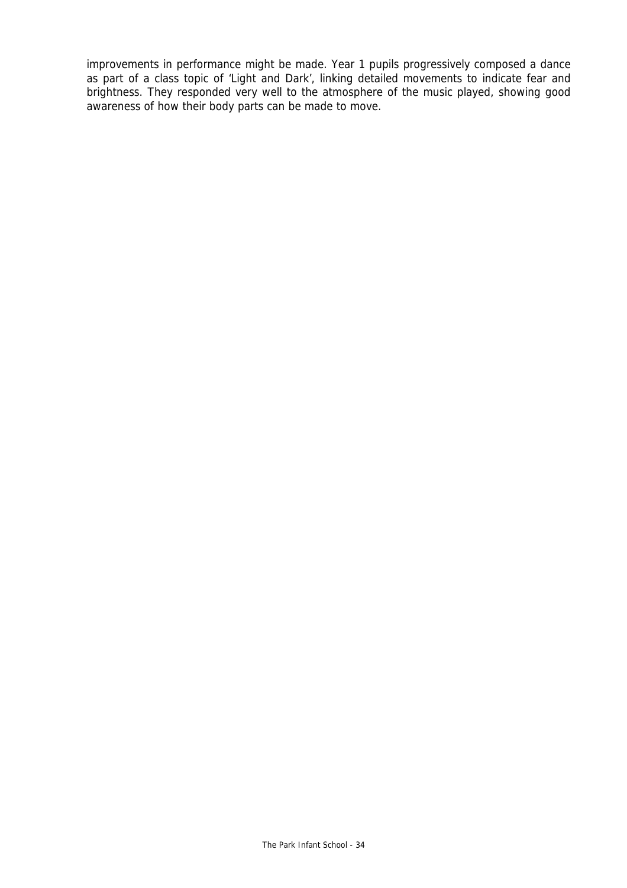improvements in performance might be made. Year 1 pupils progressively composed a dance as part of a class topic of 'Light and Dark', linking detailed movements to indicate fear and brightness. They responded very well to the atmosphere of the music played, showing good awareness of how their body parts can be made to move.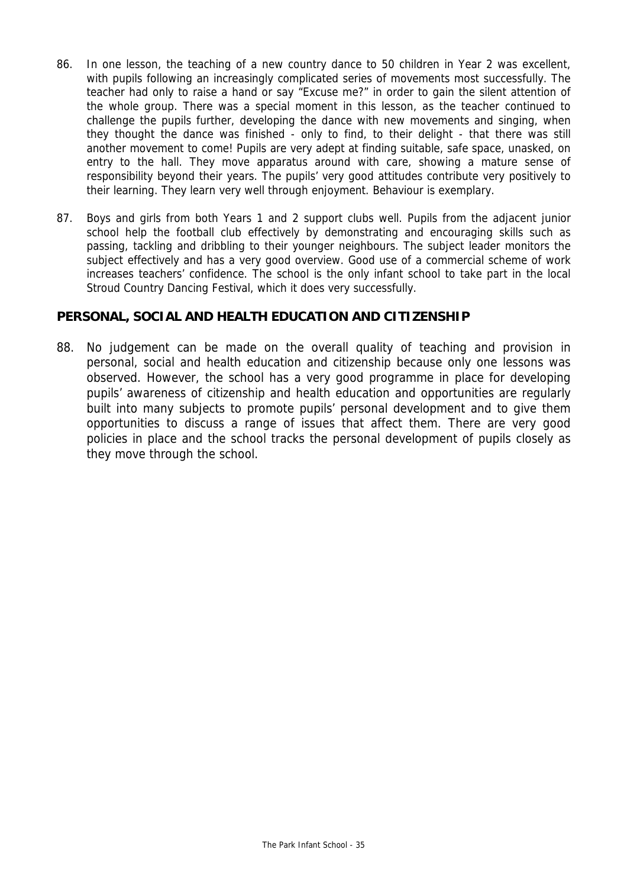- 86. In one lesson, the teaching of a new country dance to 50 children in Year 2 was excellent, with pupils following an increasingly complicated series of movements most successfully. The teacher had only to raise a hand or say "Excuse me?" in order to gain the silent attention of the whole group. There was a special moment in this lesson, as the teacher continued to challenge the pupils further, developing the dance with new movements and singing, when they thought the dance was finished - only to find, to their delight - that there was still another movement to come! Pupils are very adept at finding suitable, safe space, unasked, on entry to the hall. They move apparatus around with care, showing a mature sense of responsibility beyond their years. The pupils' very good attitudes contribute very positively to their learning. They learn very well through enjoyment. Behaviour is exemplary.
- 87. Boys and girls from both Years 1 and 2 support clubs well. Pupils from the adjacent junior school help the football club effectively by demonstrating and encouraging skills such as passing, tackling and dribbling to their younger neighbours. The subject leader monitors the subject effectively and has a very good overview. Good use of a commercial scheme of work increases teachers' confidence. The school is the only infant school to take part in the local Stroud Country Dancing Festival, which it does very successfully.

## **PERSONAL, SOCIAL AND HEALTH EDUCATION AND CITIZENSHIP**

88. No judgement can be made on the overall quality of teaching and provision in personal, social and health education and citizenship because only one lessons was observed. However, the school has a very good programme in place for developing pupils' awareness of citizenship and health education and opportunities are regularly built into many subjects to promote pupils' personal development and to give them opportunities to discuss a range of issues that affect them. There are very good policies in place and the school tracks the personal development of pupils closely as they move through the school.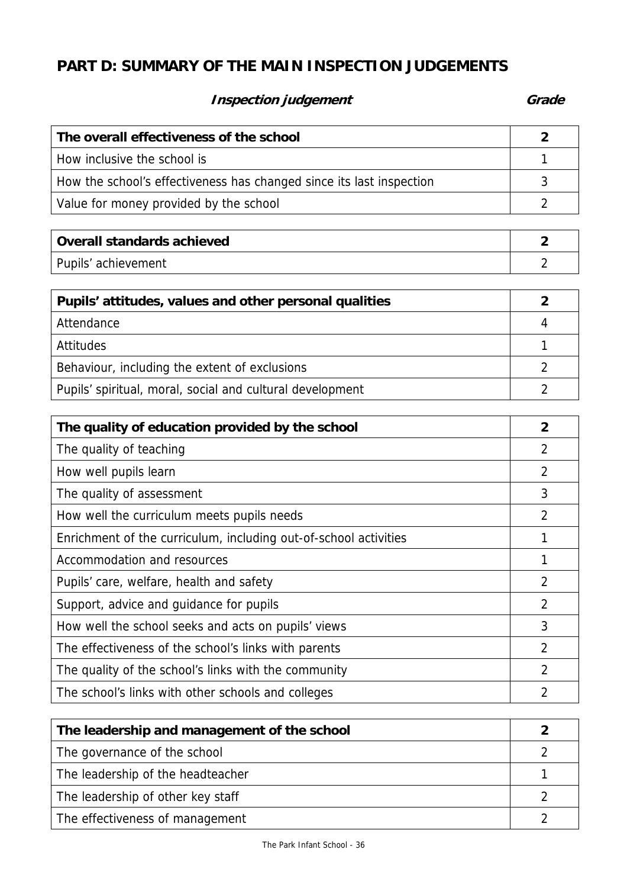# **PART D: SUMMARY OF THE MAIN INSPECTION JUDGEMENTS**

# **Inspection judgement** Grade **Grade**

| The overall effectiveness of the school                              |  |
|----------------------------------------------------------------------|--|
| How inclusive the school is                                          |  |
| How the school's effectiveness has changed since its last inspection |  |
| Value for money provided by the school                               |  |

| Overall standards achieved |  |
|----------------------------|--|
| Pupils' achievement        |  |

| Pupils' attitudes, values and other personal qualities    |   |
|-----------------------------------------------------------|---|
| Attendance                                                | Д |
| <b>Attitudes</b>                                          |   |
| Behaviour, including the extent of exclusions             |   |
| Pupils' spiritual, moral, social and cultural development |   |

| The quality of education provided by the school                  | 2              |
|------------------------------------------------------------------|----------------|
| The quality of teaching                                          | 2              |
| How well pupils learn                                            | $\overline{2}$ |
| The quality of assessment                                        | 3              |
| How well the curriculum meets pupils needs                       | 2              |
| Enrichment of the curriculum, including out-of-school activities |                |
| Accommodation and resources                                      |                |
| Pupils' care, welfare, health and safety                         | $\overline{2}$ |
| Support, advice and guidance for pupils                          | $\overline{2}$ |
| How well the school seeks and acts on pupils' views              | 3              |
| The effectiveness of the school's links with parents             | $\overline{2}$ |
| The quality of the school's links with the community             | $\overline{2}$ |
| The school's links with other schools and colleges               | 2              |

| The leadership and management of the school |  |
|---------------------------------------------|--|
| The governance of the school                |  |
| The leadership of the headteacher           |  |
| The leadership of other key staff           |  |
| The effectiveness of management             |  |